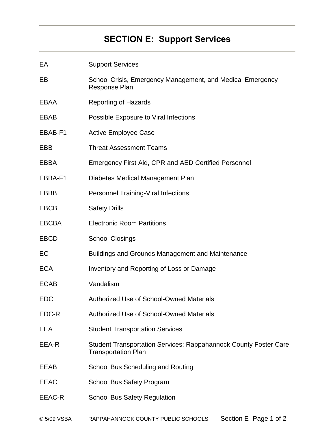# **SECTION E: Support Services**

| EA           | <b>Support Services</b>                                                                               |
|--------------|-------------------------------------------------------------------------------------------------------|
| EB           | School Crisis, Emergency Management, and Medical Emergency<br>Response Plan                           |
| EBAA         | <b>Reporting of Hazards</b>                                                                           |
| EBAB         | Possible Exposure to Viral Infections                                                                 |
| EBAB-F1      | <b>Active Employee Case</b>                                                                           |
| EBB          | <b>Threat Assessment Teams</b>                                                                        |
| EBBA         | Emergency First Aid, CPR and AED Certified Personnel                                                  |
| EBBA-F1      | Diabetes Medical Management Plan                                                                      |
| EBBB         | <b>Personnel Training-Viral Infections</b>                                                            |
| <b>EBCB</b>  | <b>Safety Drills</b>                                                                                  |
| <b>EBCBA</b> | <b>Electronic Room Partitions</b>                                                                     |
| <b>EBCD</b>  | <b>School Closings</b>                                                                                |
| EC           | <b>Buildings and Grounds Management and Maintenance</b>                                               |
| <b>ECA</b>   | Inventory and Reporting of Loss or Damage                                                             |
| <b>ECAB</b>  | Vandalism                                                                                             |
| <b>EDC</b>   | <b>Authorized Use of School-Owned Materials</b>                                                       |
| EDC-R        | <b>Authorized Use of School-Owned Materials</b>                                                       |
| EEA          | <b>Student Transportation Services</b>                                                                |
| EEA-R        | <b>Student Transportation Services: Rappahannock County Foster Care</b><br><b>Transportation Plan</b> |
| EEAB         | School Bus Scheduling and Routing                                                                     |
| <b>EEAC</b>  | <b>School Bus Safety Program</b>                                                                      |
| EEAC-R       | <b>School Bus Safety Regulation</b>                                                                   |
|              |                                                                                                       |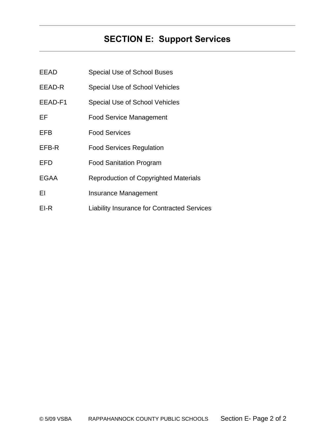# **SECTION E: Support Services**

| <b>EEAD</b> | <b>Special Use of School Buses</b>                 |
|-------------|----------------------------------------------------|
| EEAD-R      | <b>Special Use of School Vehicles</b>              |
| EEAD-F1     | <b>Special Use of School Vehicles</b>              |
| EF.         | <b>Food Service Management</b>                     |
| EFB         | <b>Food Services</b>                               |
| EFB-R       | <b>Food Services Regulation</b>                    |
| EFD         | <b>Food Sanitation Program</b>                     |
| <b>EGAA</b> | <b>Reproduction of Copyrighted Materials</b>       |
| ΕI          | Insurance Management                               |
| EI-R        | <b>Liability Insurance for Contracted Services</b> |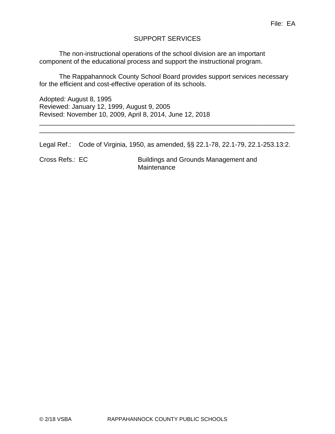## SUPPORT SERVICES

The non-instructional operations of the school division are an important component of the educational process and support the instructional program.

The Rappahannock County School Board provides support services necessary for the efficient and cost-effective operation of its schools.

Adopted: August 8, 1995 Reviewed: January 12, 1999, August 9, 2005 Revised: November 10, 2009, April 8, 2014, June 12, 2018

Legal Ref.: Code of Virginia, 1950, as amended, §§ 22.1-78, 22.1-79, 22.1-253.13:2.

\_\_\_\_\_\_\_\_\_\_\_\_\_\_\_\_\_\_\_\_\_\_\_\_\_\_\_\_\_\_\_\_\_\_\_\_\_\_\_\_\_\_\_\_\_\_\_\_\_\_\_\_\_\_\_\_\_\_\_\_\_\_\_\_\_\_\_\_\_\_ \_\_\_\_\_\_\_\_\_\_\_\_\_\_\_\_\_\_\_\_\_\_\_\_\_\_\_\_\_\_\_\_\_\_\_\_\_\_\_\_\_\_\_\_\_\_\_\_\_\_\_\_\_\_\_\_\_\_\_\_\_\_\_\_\_\_\_\_\_\_

Cross Refs.: EC Buildings and Grounds Management and **Maintenance**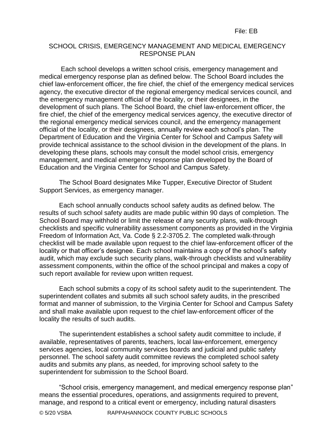## SCHOOL CRISIS, EMERGENCY MANAGEMENT AND MEDICAL EMERGENCY RESPONSE PLAN

Each school develops a written school crisis, emergency management and medical emergency response plan as defined below. The School Board includes the chief law-enforcement officer, the fire chief, the chief of the emergency medical services agency, the executive director of the regional emergency medical services council, and the emergency management official of the locality, or their designees, in the development of such plans. The School Board, the chief law-enforcement officer, the fire chief, the chief of the emergency medical services agency, the executive director of the regional emergency medical services council, and the emergency management official of the locality, or their designees, annually review each school's plan. The Department of Education and the Virginia Center for School and Campus Safety will provide technical assistance to the school division in the development of the plans. In developing these plans, schools may consult the model school crisis, emergency management, and medical emergency response plan developed by the Board of Education and the Virginia Center for School and Campus Safety.

The School Board designates Mike Tupper, Executive Director of Student Support Services, as emergency manager.

Each school annually conducts school safety audits as defined below. The results of such school safety audits are made public within 90 days of completion. The School Board may withhold or limit the release of any security plans, walk-through checklists and specific vulnerability assessment components as provided in the Virginia Freedom of Information Act, Va. Code § 2.2-3705.2. The completed walk-through checklist will be made available upon request to the chief law-enforcement officer of the locality or that officer's designee. Each school maintains a copy of the school's safety audit, which may exclude such security plans, walk-through checklists and vulnerability assessment components, within the office of the school principal and makes a copy of such report available for review upon written request.

Each school submits a copy of its school safety audit to the superintendent. The superintendent collates and submits all such school safety audits, in the prescribed format and manner of submission, to the Virginia Center for School and Campus Safety and shall make available upon request to the chief law-enforcement officer of the locality the results of such audits.

The superintendent establishes a school safety audit committee to include, if available, representatives of parents, teachers, local law-enforcement, emergency services agencies, local community services boards and judicial and public safety personnel. The school safety audit committee reviews the completed school safety audits and submits any plans, as needed, for improving school safety to the superintendent for submission to the School Board.

"School crisis, emergency management, and medical emergency response plan" means the essential procedures, operations, and assignments required to prevent, manage, and respond to a critical event or emergency, including natural disasters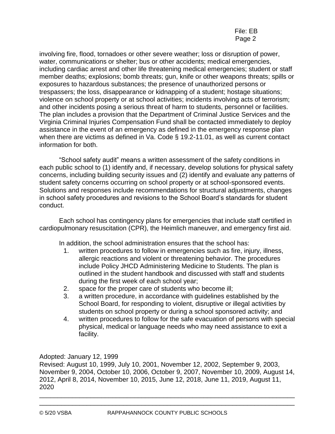involving fire, flood, tornadoes or other severe weather; loss or disruption of power, water, communications or shelter; bus or other accidents; medical emergencies, including cardiac arrest and other life threatening medical emergencies; student or staff member deaths; explosions; bomb threats; gun, knife or other weapons threats; spills or exposures to hazardous substances; the presence of unauthorized persons or trespassers; the loss, disappearance or kidnapping of a student; hostage situations; violence on school property or at school activities; incidents involving acts of terrorism; and other incidents posing a serious threat of harm to students, personnel or facilities. The plan includes a provision that the Department of Criminal Justice Services and the Virginia Criminal Injuries Compensation Fund shall be contacted immediately to deploy assistance in the event of an emergency as defined in the emergency response plan when there are victims as defined in Va. Code § 19.2-11.01, as well as current contact information for both.

"School safety audit" means a written assessment of the safety conditions in each public school to (1) identify and, if necessary, develop solutions for physical safety concerns, including building security issues and (2) identify and evaluate any patterns of student safety concerns occurring on school property or at school-sponsored events. Solutions and responses include recommendations for structural adjustments, changes in school safety procedures and revisions to the School Board's standards for student conduct.

Each school has contingency plans for emergencies that include staff certified in cardiopulmonary resuscitation (CPR), the Heimlich maneuver, and emergency first aid.

In addition, the school administration ensures that the school has:

- 1. written procedures to follow in emergencies such as fire, injury, illness, allergic reactions and violent or threatening behavior. The procedures include Policy JHCD Administering Medicine to Students. The plan is outlined in the student handbook and discussed with staff and students during the first week of each school year;
- 2. space for the proper care of students who become ill;
- 3. a written procedure, in accordance with guidelines established by the School Board, for responding to violent, disruptive or illegal activities by students on school property or during a school sponsored activity; and
- 4. written procedures to follow for the safe evacuation of persons with special physical, medical or language needs who may need assistance to exit a facility.

Adopted: January 12, 1999

Revised: August 10, 1999, July 10, 2001, November 12, 2002, September 9, 2003, November 9, 2004, October 10, 2006, October 9, 2007, November 10, 2009, August 14, 2012, April 8, 2014, November 10, 2015, June 12, 2018, June 11, 2019, August 11, 2020

\_\_\_\_\_\_\_\_\_\_\_\_\_\_\_\_\_\_\_\_\_\_\_\_\_\_\_\_\_\_\_\_\_\_\_\_\_\_\_\_\_\_\_\_\_\_\_\_\_\_\_\_\_\_\_\_\_\_\_\_\_\_\_\_\_\_\_\_\_\_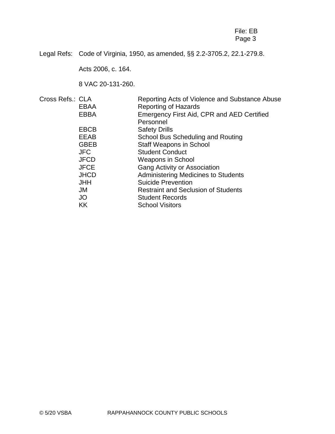## File: EB Page 3

Legal Refs: Code of Virginia, 1950, as amended, §§ 2.2-3705.2, 22.1-279.8.

Acts 2006, c. 164.

8 VAC 20-131-260.

| Cross Refs.: CLA |             | Reporting Acts of Violence and Substance Abuse |
|------------------|-------------|------------------------------------------------|
|                  | EBAA        | <b>Reporting of Hazards</b>                    |
|                  | <b>EBBA</b> | Emergency First Aid, CPR and AED Certified     |
|                  |             | Personnel                                      |
|                  | <b>EBCB</b> | <b>Safety Drills</b>                           |
|                  | EEAB        | School Bus Scheduling and Routing              |
|                  | <b>GBEB</b> | <b>Staff Weapons in School</b>                 |
|                  | <b>JFC</b>  | <b>Student Conduct</b>                         |
|                  | <b>JFCD</b> | <b>Weapons in School</b>                       |
|                  | <b>JFCE</b> | <b>Gang Activity or Association</b>            |
|                  | <b>JHCD</b> | <b>Administering Medicines to Students</b>     |
|                  | <b>JHH</b>  | <b>Suicide Prevention</b>                      |
|                  | JM          | <b>Restraint and Seclusion of Students</b>     |
|                  | JO          | <b>Student Records</b>                         |
|                  | <b>KK</b>   | <b>School Visitors</b>                         |
|                  |             |                                                |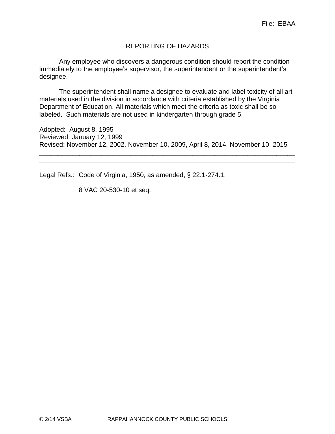## REPORTING OF HAZARDS

Any employee who discovers a dangerous condition should report the condition immediately to the employee's supervisor, the superintendent or the superintendent's designee.

The superintendent shall name a designee to evaluate and label toxicity of all art materials used in the division in accordance with criteria established by the Virginia Department of Education. All materials which meet the criteria as toxic shall be so labeled. Such materials are not used in kindergarten through grade 5.

Adopted: August 8, 1995 Reviewed: January 12, 1999 Revised: November 12, 2002, November 10, 2009, April 8, 2014, November 10, 2015

\_\_\_\_\_\_\_\_\_\_\_\_\_\_\_\_\_\_\_\_\_\_\_\_\_\_\_\_\_\_\_\_\_\_\_\_\_\_\_\_\_\_\_\_\_\_\_\_\_\_\_\_\_\_\_\_\_\_\_\_\_\_\_\_\_\_\_\_\_\_ \_\_\_\_\_\_\_\_\_\_\_\_\_\_\_\_\_\_\_\_\_\_\_\_\_\_\_\_\_\_\_\_\_\_\_\_\_\_\_\_\_\_\_\_\_\_\_\_\_\_\_\_\_\_\_\_\_\_\_\_\_\_\_\_\_\_\_\_\_\_

Legal Refs.: Code of Virginia, 1950, as amended, § 22.1-274.1.

8 VAC 20-530-10 et seq.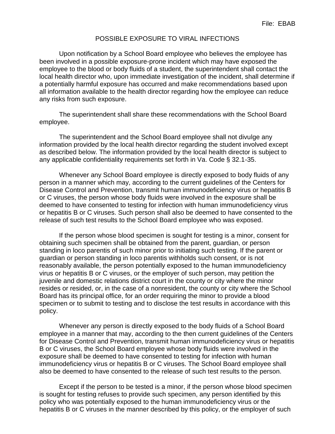#### POSSIBLE EXPOSURE TO VIRAL INFECTIONS

Upon notification by a School Board employee who believes the employee has been involved in a possible exposure-prone incident which may have exposed the employee to the blood or body fluids of a student, the superintendent shall contact the local health director who, upon immediate investigation of the incident, shall determine if a potentially harmful exposure has occurred and make recommendations based upon all information available to the health director regarding how the employee can reduce any risks from such exposure.

The superintendent shall share these recommendations with the School Board employee.

The superintendent and the School Board employee shall not divulge any information provided by the local health director regarding the student involved except as described below. The information provided by the local health director is subject to any applicable confidentiality requirements set forth in Va. Code § 32.1-35.

Whenever any School Board employee is directly exposed to body fluids of any person in a manner which may, according to the current guidelines of the Centers for Disease Control and Prevention, transmit human immunodeficiency virus or hepatitis B or C viruses, the person whose body fluids were involved in the exposure shall be deemed to have consented to testing for infection with human immunodeficiency virus or hepatitis B or C viruses. Such person shall also be deemed to have consented to the release of such test results to the School Board employee who was exposed.

If the person whose blood specimen is sought for testing is a minor, consent for obtaining such specimen shall be obtained from the parent, guardian, or person standing in loco parentis of such minor prior to initiating such testing. If the parent or guardian or person standing in loco parentis withholds such consent, or is not reasonably available, the person potentially exposed to the human immunodeficiency virus or hepatitis B or C viruses, or the employer of such person, may petition the juvenile and domestic relations district court in the county or city where the minor resides or resided, or, in the case of a nonresident, the county or city where the School Board has its principal office, for an order requiring the minor to provide a blood specimen or to submit to testing and to disclose the test results in accordance with this policy.

Whenever any person is directly exposed to the body fluids of a School Board employee in a manner that may, according to the then current guidelines of the Centers for Disease Control and Prevention, transmit human immunodeficiency virus or hepatitis B or C viruses, the School Board employee whose body fluids were involved in the exposure shall be deemed to have consented to testing for infection with human immunodeficiency virus or hepatitis B or C viruses. The School Board employee shall also be deemed to have consented to the release of such test results to the person.

Except if the person to be tested is a minor, if the person whose blood specimen is sought for testing refuses to provide such specimen, any person identified by this policy who was potentially exposed to the human immunodeficiency virus or the hepatitis B or C viruses in the manner described by this policy, or the employer of such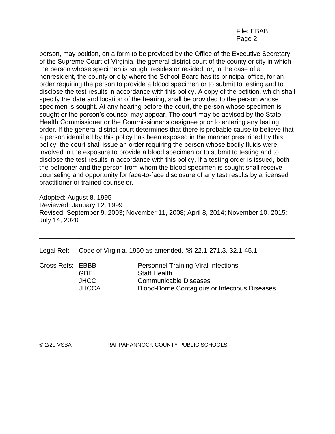### File: EBAB Page 2

person, may petition, on a form to be provided by the Office of the Executive Secretary of the Supreme Court of Virginia, the general district court of the county or city in which the person whose specimen is sought resides or resided, or, in the case of a nonresident, the county or city where the School Board has its principal office, for an order requiring the person to provide a blood specimen or to submit to testing and to disclose the test results in accordance with this policy. A copy of the petition, which shall specify the date and location of the hearing, shall be provided to the person whose specimen is sought. At any hearing before the court, the person whose specimen is sought or the person's counsel may appear. The court may be advised by the State Health Commissioner or the Commissioner's designee prior to entering any testing order. If the general district court determines that there is probable cause to believe that a person identified by this policy has been exposed in the manner prescribed by this policy, the court shall issue an order requiring the person whose bodily fluids were involved in the exposure to provide a blood specimen or to submit to testing and to disclose the test results in accordance with this policy. If a testing order is issued, both the petitioner and the person from whom the blood specimen is sought shall receive counseling and opportunity for face-to-face disclosure of any test results by a licensed practitioner or trained counselor.

Adopted: August 8, 1995 Reviewed: January 12, 1999 Revised: September 9, 2003; November 11, 2008; April 8, 2014; November 10, 2015; July 14, 2020

\_\_\_\_\_\_\_\_\_\_\_\_\_\_\_\_\_\_\_\_\_\_\_\_\_\_\_\_\_\_\_\_\_\_\_\_\_\_\_\_\_\_\_\_\_\_\_\_\_\_\_\_\_\_\_\_\_\_\_\_\_\_\_\_\_\_\_\_\_\_ \_\_\_\_\_\_\_\_\_\_\_\_\_\_\_\_\_\_\_\_\_\_\_\_\_\_\_\_\_\_\_\_\_\_\_\_\_\_\_\_\_\_\_\_\_\_\_\_\_\_\_\_\_\_\_\_\_\_\_\_\_\_\_\_\_\_\_\_\_\_

Legal Ref: Code of Virginia, 1950 as amended, §§ 22.1-271.3, 32.1-45.1.

|              | <b>Personnel Training-Viral Infections</b>           |
|--------------|------------------------------------------------------|
| GBE.         | <b>Staff Health</b>                                  |
| JHCC         | <b>Communicable Diseases</b>                         |
| <b>JHCCA</b> | <b>Blood-Borne Contagious or Infectious Diseases</b> |
|              | Cross Refs: EBBB                                     |

© 2/20 VSBA RAPPAHANNOCK COUNTY PUBLIC SCHOOLS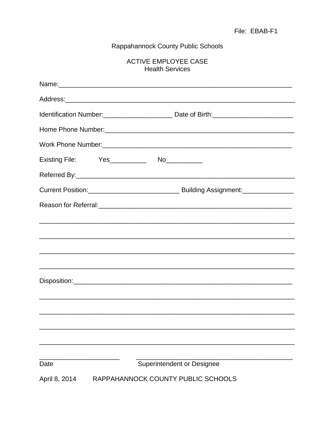# Rappahannock County Public Schools

## ACTIVE EMPLOYEE CASE **Health Services**

| Date          |  | Superintendent or Designee         |  |
|---------------|--|------------------------------------|--|
| April 8, 2014 |  | RAPPAHANNOCK COUNTY PUBLIC SCHOOLS |  |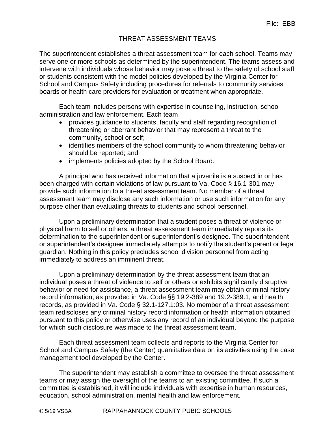# THREAT ASSESSMENT TEAMS

The superintendent establishes a threat assessment team for each school. Teams may serve one or more schools as determined by the superintendent. The teams assess and intervene with individuals whose behavior may pose a threat to the safety of school staff or students consistent with the model policies developed by the Virginia Center for School and Campus Safety including procedures for referrals to community services boards or health care providers for evaluation or treatment when appropriate.

Each team includes persons with expertise in counseling, instruction, school administration and law enforcement. Each team

- provides guidance to students, faculty and staff regarding recognition of threatening or aberrant behavior that may represent a threat to the community, school or self;
- identifies members of the school community to whom threatening behavior should be reported; and
- implements policies adopted by the School Board.

A principal who has received information that a juvenile is a suspect in or has been charged with certain violations of law pursuant to Va. Code § 16.1-301 may provide such information to a threat assessment team. No member of a threat assessment team may disclose any such information or use such information for any purpose other than evaluating threats to students and school personnel.

Upon a preliminary determination that a student poses a threat of violence or physical harm to self or others, a threat assessment team immediately reports its determination to the superintendent or superintendent's designee. The superintendent or superintendent's designee immediately attempts to notify the student's parent or legal guardian. Nothing in this policy precludes school division personnel from acting immediately to address an imminent threat.

Upon a preliminary determination by the threat assessment team that an individual poses a threat of violence to self or others or exhibits significantly disruptive behavior or need for assistance, a threat assessment team may obtain criminal history record information, as provided in Va. Code §§ 19.2-389 and 19.2-389.1, and health records, as provided in Va. Code § 32.1-127.1:03. No member of a threat assessment team rediscloses any criminal history record information or health information obtained pursuant to this policy or otherwise uses any record of an individual beyond the purpose for which such disclosure was made to the threat assessment team.

Each threat assessment team collects and reports to the Virginia Center for School and Campus Safety (the Center) quantitative data on its activities using the case management tool developed by the Center.

The superintendent may establish a committee to oversee the threat assessment teams or may assign the oversight of the teams to an existing committee. If such a committee is established, it will include individuals with expertise in human resources, education, school administration, mental health and law enforcement.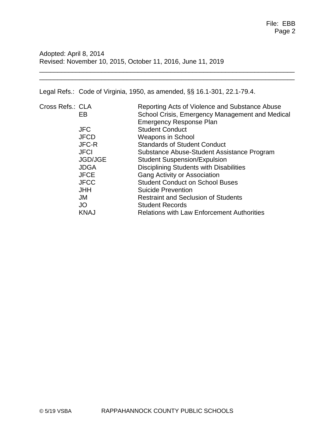Adopted: April 8, 2014 Revised: November 10, 2015, October 11, 2016, June 11, 2019

Legal Refs.: Code of Virginia, 1950, as amended, §§ 16.1-301, 22.1-79.4.

| Cross Refs.: CLA | Reporting Acts of Violence and Substance Abuse    |
|------------------|---------------------------------------------------|
| EB               | School Crisis, Emergency Management and Medical   |
|                  | <b>Emergency Response Plan</b>                    |
| <b>JFC</b>       | <b>Student Conduct</b>                            |
| <b>JFCD</b>      | <b>Weapons in School</b>                          |
| <b>JFC-R</b>     | <b>Standards of Student Conduct</b>               |
| <b>JFCI</b>      | Substance Abuse-Student Assistance Program        |
| <b>JGD/JGE</b>   | <b>Student Suspension/Expulsion</b>               |
| <b>JDGA</b>      | Disciplining Students with Disabilities           |
| <b>JFCE</b>      | <b>Gang Activity or Association</b>               |
| <b>JFCC</b>      | <b>Student Conduct on School Buses</b>            |
| <b>JHH</b>       | <b>Suicide Prevention</b>                         |
| JM               | <b>Restraint and Seclusion of Students</b>        |
| JO               | <b>Student Records</b>                            |
| <b>KNAJ</b>      | <b>Relations with Law Enforcement Authorities</b> |
|                  |                                                   |

\_\_\_\_\_\_\_\_\_\_\_\_\_\_\_\_\_\_\_\_\_\_\_\_\_\_\_\_\_\_\_\_\_\_\_\_\_\_\_\_\_\_\_\_\_\_\_\_\_\_\_\_\_\_\_\_\_\_\_\_\_\_\_\_\_\_\_\_\_\_ \_\_\_\_\_\_\_\_\_\_\_\_\_\_\_\_\_\_\_\_\_\_\_\_\_\_\_\_\_\_\_\_\_\_\_\_\_\_\_\_\_\_\_\_\_\_\_\_\_\_\_\_\_\_\_\_\_\_\_\_\_\_\_\_\_\_\_\_\_\_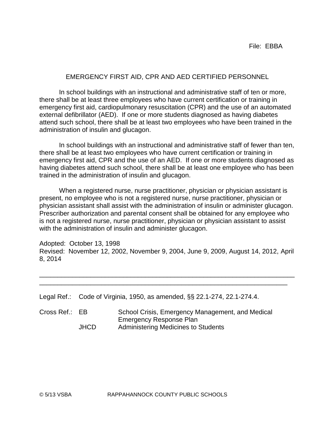## EMERGENCY FIRST AID, CPR AND AED CERTIFIED PERSONNEL

In school buildings with an instructional and administrative staff of ten or more, there shall be at least three employees who have current certification or training in emergency first aid, cardiopulmonary resuscitation (CPR) and the use of an automated external defibrillator (AED). If one or more students diagnosed as having diabetes attend such school, there shall be at least two employees who have been trained in the administration of insulin and glucagon.

In school buildings with an instructional and administrative staff of fewer than ten, there shall be at least two employees who have current certification or training in emergency first aid, CPR and the use of an AED. If one or more students diagnosed as having diabetes attend such school, there shall be at least one employee who has been trained in the administration of insulin and glucagon.

When a registered nurse, nurse practitioner, physician or physician assistant is present, no employee who is not a registered nurse, nurse practitioner, physician or physician assistant shall assist with the administration of insulin or administer glucagon. Prescriber authorization and parental consent shall be obtained for any employee who is not a registered nurse, nurse practitioner, physician or physician assistant to assist with the administration of insulin and administer glucagon.

Adopted: October 13, 1998 Revised: November 12, 2002, November 9, 2004, June 9, 2009, August 14, 2012, April 8, 2014

\_\_\_\_\_\_\_\_\_\_\_\_\_\_\_\_\_\_\_\_\_\_\_\_\_\_\_\_\_\_\_\_\_\_\_\_\_\_\_\_\_\_\_\_\_\_\_\_\_\_\_\_\_\_\_\_\_\_\_\_\_\_\_\_\_\_\_\_\_\_ \_\_\_\_\_\_\_\_\_\_\_\_\_\_\_\_\_\_\_\_\_\_\_\_\_\_\_\_\_\_\_\_\_\_\_\_\_\_\_\_\_\_\_\_\_\_\_\_\_\_\_\_\_\_\_\_\_\_\_\_\_\_\_\_\_\_\_\_

|  |  |  | Legal Ref.: Code of Virginia, 1950, as amended, §§ 22.1-274, 22.1-274.4. |
|--|--|--|--------------------------------------------------------------------------|
|--|--|--|--------------------------------------------------------------------------|

| Cross Ref.: EB |             | School Crisis, Emergency Management, and Medical |
|----------------|-------------|--------------------------------------------------|
|                |             | Emergency Response Plan                          |
|                | <b>JHCD</b> | Administering Medicines to Students              |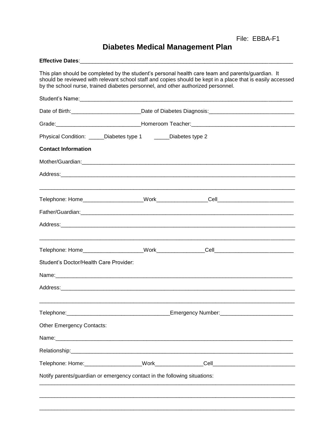File: EBBA-F1

# **Diabetes Medical Management Plan**

| This plan should be completed by the student's personal health care team and parents/guardian. It<br>should be reviewed with relevant school staff and copies should be kept in a place that is easily accessed<br>by the school nurse, trained diabetes personnel, and other authorized personnel. |  |  |  |  |  |  |
|-----------------------------------------------------------------------------------------------------------------------------------------------------------------------------------------------------------------------------------------------------------------------------------------------------|--|--|--|--|--|--|
| Student's Name: Note of the Contract of the Contract of the Contract of the Contract of the Contract of the Contract of the Contract of the Contract of the Contract of the Contract of the Contract of the Contract of the Co                                                                      |  |  |  |  |  |  |
|                                                                                                                                                                                                                                                                                                     |  |  |  |  |  |  |
| Grade: Carrier Communication Control Communication Communication Communication Communication Communication Communication Communication Communication Communication Communication Communication Communication Communication Com                                                                      |  |  |  |  |  |  |
| Physical Condition: _____Diabetes type 1 ______Diabetes type 2                                                                                                                                                                                                                                      |  |  |  |  |  |  |
| <b>Contact Information</b>                                                                                                                                                                                                                                                                          |  |  |  |  |  |  |
|                                                                                                                                                                                                                                                                                                     |  |  |  |  |  |  |
|                                                                                                                                                                                                                                                                                                     |  |  |  |  |  |  |
|                                                                                                                                                                                                                                                                                                     |  |  |  |  |  |  |
|                                                                                                                                                                                                                                                                                                     |  |  |  |  |  |  |
|                                                                                                                                                                                                                                                                                                     |  |  |  |  |  |  |
|                                                                                                                                                                                                                                                                                                     |  |  |  |  |  |  |
| Student's Doctor/Health Care Provider:                                                                                                                                                                                                                                                              |  |  |  |  |  |  |
|                                                                                                                                                                                                                                                                                                     |  |  |  |  |  |  |
|                                                                                                                                                                                                                                                                                                     |  |  |  |  |  |  |
|                                                                                                                                                                                                                                                                                                     |  |  |  |  |  |  |
| <b>Other Emergency Contacts:</b>                                                                                                                                                                                                                                                                    |  |  |  |  |  |  |
|                                                                                                                                                                                                                                                                                                     |  |  |  |  |  |  |
|                                                                                                                                                                                                                                                                                                     |  |  |  |  |  |  |
|                                                                                                                                                                                                                                                                                                     |  |  |  |  |  |  |
| Notify parents/guardian or emergency contact in the following situations:                                                                                                                                                                                                                           |  |  |  |  |  |  |
|                                                                                                                                                                                                                                                                                                     |  |  |  |  |  |  |
|                                                                                                                                                                                                                                                                                                     |  |  |  |  |  |  |
|                                                                                                                                                                                                                                                                                                     |  |  |  |  |  |  |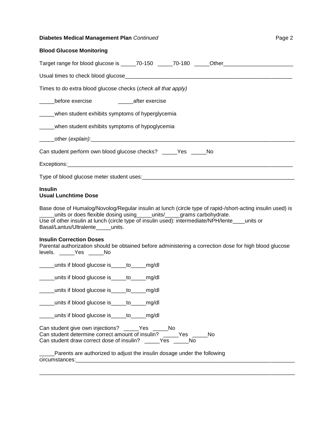## **Diabetes Medical Management Plan** *Continued* **Page 2 Page 2**

| <b>Blood Glucose Monitoring</b> |  |  |  |  |
|---------------------------------|--|--|--|--|
|---------------------------------|--|--|--|--|

| Target range for blood glucose is _____70-150 ______70-180 _____Other_______________________________                                                                                                                                                                                                                        |
|-----------------------------------------------------------------------------------------------------------------------------------------------------------------------------------------------------------------------------------------------------------------------------------------------------------------------------|
|                                                                                                                                                                                                                                                                                                                             |
| Times to do extra blood glucose checks (check all that apply)                                                                                                                                                                                                                                                               |
| ______before exercise ________________________after exercise                                                                                                                                                                                                                                                                |
| _____when student exhibits symptoms of hyperglycemia                                                                                                                                                                                                                                                                        |
| _____when student exhibits symptoms of hypoglycemia                                                                                                                                                                                                                                                                         |
|                                                                                                                                                                                                                                                                                                                             |
| Can student perform own blood glucose checks? _____Yes _____No                                                                                                                                                                                                                                                              |
|                                                                                                                                                                                                                                                                                                                             |
|                                                                                                                                                                                                                                                                                                                             |
| <b>Insulin</b><br><b>Usual Lunchtime Dose</b>                                                                                                                                                                                                                                                                               |
| Base dose of Humalog/Novolog/Regular insulin at lunch (circle type of rapid-/short-acting insulin used) is<br>_units or does flexible dosing using _____units/_____grams carbohydrate.<br>Use of other insulin at lunch (circle type of insulin used): intermediate/NPH/lente_units or<br>Basal/Lantus/Ultralente____units. |
| <b>Insulin Correction Doses</b><br>Parental authorization should be obtained before administering a correction dose for high blood glucose<br>levels. _____Yes _____No                                                                                                                                                      |
| _____units if blood glucose is____to____mg/dl                                                                                                                                                                                                                                                                               |
| _____units if blood glucose is____to____mg/dl                                                                                                                                                                                                                                                                               |
| _____units if blood glucose is____to_____mg/dl                                                                                                                                                                                                                                                                              |
| units if blood glucose is_et ___to_____mg/dl                                                                                                                                                                                                                                                                                |
| units if blood glucose is _____ to _____ mg/dl                                                                                                                                                                                                                                                                              |
| Can student give own injections? ______Yes ______No<br>Can student determine correct amount of insulin? _____Yes _____No<br>Can student draw correct dose of insulin? _____Yes _____No<br>Parents are authorized to adjust the insulin dosage under the following                                                           |
| circumstances:                                                                                                                                                                                                                                                                                                              |

\_\_\_\_\_\_\_\_\_\_\_\_\_\_\_\_\_\_\_\_\_\_\_\_\_\_\_\_\_\_\_\_\_\_\_\_\_\_\_\_\_\_\_\_\_\_\_\_\_\_\_\_\_\_\_\_\_\_\_\_\_\_\_\_\_\_\_\_\_\_\_\_\_\_\_\_\_\_\_\_\_\_\_\_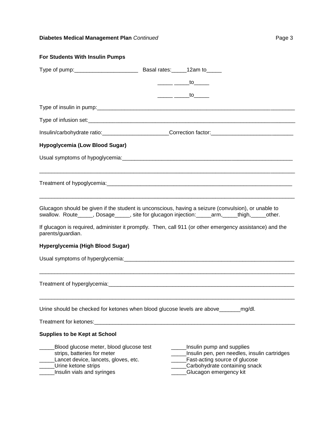## **Diabetes Medical Management Plan** *Continued* **Page 3 Page 3**

| For Students With Insulin Pumps                                                                                                                                                                      |  |                                                                                                                                                                                                                                                                                                                                                                                                                                 |                                              |
|------------------------------------------------------------------------------------------------------------------------------------------------------------------------------------------------------|--|---------------------------------------------------------------------------------------------------------------------------------------------------------------------------------------------------------------------------------------------------------------------------------------------------------------------------------------------------------------------------------------------------------------------------------|----------------------------------------------|
|                                                                                                                                                                                                      |  |                                                                                                                                                                                                                                                                                                                                                                                                                                 |                                              |
|                                                                                                                                                                                                      |  | $\frac{\ }{\ }$ to $\frac{\ }{\ }$                                                                                                                                                                                                                                                                                                                                                                                              |                                              |
|                                                                                                                                                                                                      |  | $\frac{1}{\sqrt{1-\frac{1}{2}}}\frac{1}{\sqrt{1-\frac{1}{2}}}\frac{1}{\sqrt{1-\frac{1}{2}}}\frac{1}{\sqrt{1-\frac{1}{2}}}\frac{1}{\sqrt{1-\frac{1}{2}}}\frac{1}{\sqrt{1-\frac{1}{2}}}\frac{1}{\sqrt{1-\frac{1}{2}}}\frac{1}{\sqrt{1-\frac{1}{2}}}\frac{1}{\sqrt{1-\frac{1}{2}}}\frac{1}{\sqrt{1-\frac{1}{2}}}\frac{1}{\sqrt{1-\frac{1}{2}}}\frac{1}{\sqrt{1-\frac{1}{2}}}\frac{1}{\sqrt{1-\frac{1}{2}}}\frac{1}{\sqrt{1-\frac{$ |                                              |
|                                                                                                                                                                                                      |  |                                                                                                                                                                                                                                                                                                                                                                                                                                 |                                              |
|                                                                                                                                                                                                      |  |                                                                                                                                                                                                                                                                                                                                                                                                                                 |                                              |
| Insulin/carbohydrate ratio:________________________Correction factor:______________________________                                                                                                  |  |                                                                                                                                                                                                                                                                                                                                                                                                                                 |                                              |
| Hypoglycemia (Low Blood Sugar)                                                                                                                                                                       |  |                                                                                                                                                                                                                                                                                                                                                                                                                                 |                                              |
|                                                                                                                                                                                                      |  |                                                                                                                                                                                                                                                                                                                                                                                                                                 |                                              |
|                                                                                                                                                                                                      |  |                                                                                                                                                                                                                                                                                                                                                                                                                                 |                                              |
| Glucagon should be given if the student is unconscious, having a seizure (convulsion), or unable to<br>swallow. Route_____, Dosage_____, site for glucagon injection:_____arm,_____thigh,_____other. |  |                                                                                                                                                                                                                                                                                                                                                                                                                                 |                                              |
| If glucagon is required, administer it promptly. Then, call 911 (or other emergency assistance) and the<br>parents/guardian.                                                                         |  |                                                                                                                                                                                                                                                                                                                                                                                                                                 |                                              |
| Hyperglycemia (High Blood Sugar)                                                                                                                                                                     |  |                                                                                                                                                                                                                                                                                                                                                                                                                                 |                                              |
|                                                                                                                                                                                                      |  |                                                                                                                                                                                                                                                                                                                                                                                                                                 |                                              |
|                                                                                                                                                                                                      |  |                                                                                                                                                                                                                                                                                                                                                                                                                                 |                                              |
| Urine should be checked for ketones when blood glucose levels are above________                                                                                                                      |  |                                                                                                                                                                                                                                                                                                                                                                                                                                 | _mg/dl.                                      |
| Treatment for ketones:                                                                                                                                                                               |  |                                                                                                                                                                                                                                                                                                                                                                                                                                 |                                              |
| <b>Supplies to be Kept at School</b>                                                                                                                                                                 |  |                                                                                                                                                                                                                                                                                                                                                                                                                                 |                                              |
| Blood glucose meter, blood glucose test<br>strips, batteries for meter<br>Lancet device, lancets, gloves, etc.<br>Urine ketone strips<br>Insulin vials and syringes                                  |  | Insulin pump and supplies<br>Fast-acting source of glucose<br>Carbohydrate containing snack<br>Glucagon emergency kit                                                                                                                                                                                                                                                                                                           | Insulin pen, pen needles, insulin cartridges |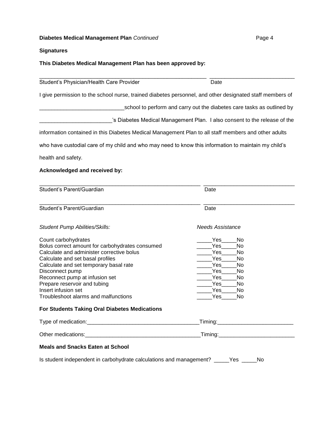# **Diabetes Medical Management Plan** *Continued* **Page 4 Page 4**

## **Signatures**

## **This Diabetes Medical Management Plan has been approved by:**

| Student's Physician/Health Care Provider                                                                                                    | Date                                                                      |
|---------------------------------------------------------------------------------------------------------------------------------------------|---------------------------------------------------------------------------|
| I give permission to the school nurse, trained diabetes personnel, and other designated staff members of                                    |                                                                           |
|                                                                                                                                             |                                                                           |
|                                                                                                                                             | school to perform and carry out the diabetes care tasks as outlined by    |
|                                                                                                                                             | 's Diabetes Medical Management Plan. I also consent to the release of the |
| information contained in this Diabetes Medical Management Plan to all staff members and other adults                                        |                                                                           |
| who have custodial care of my child and who may need to know this information to maintain my child's                                        |                                                                           |
| health and safety.                                                                                                                          |                                                                           |
| Acknowledged and received by:                                                                                                               |                                                                           |
| Student's Parent/Guardian                                                                                                                   | Date                                                                      |
| Student's Parent/Guardian                                                                                                                   | Date                                                                      |
| <b>Student Pump Abilities/Skills:</b>                                                                                                       | <b>Needs Assistance</b>                                                   |
| Count carbohydrates                                                                                                                         | <b>Yes</b><br>No                                                          |
| Bolus correct amount for carbohydrates consumed                                                                                             | No<br>Yes.                                                                |
| Calculate and administer corrective bolus                                                                                                   | Yes<br>No                                                                 |
| Calculate and set basal profiles                                                                                                            | Yes<br>No                                                                 |
| Calculate and set temporary basal rate                                                                                                      | Yes<br>No                                                                 |
| Disconnect pump                                                                                                                             | Yes<br>No                                                                 |
| Reconnect pump at infusion set                                                                                                              | Yes<br>No                                                                 |
| Prepare reservoir and tubing                                                                                                                | Yes<br>No                                                                 |
| Insert infusion set                                                                                                                         | Yes<br>No                                                                 |
| Troubleshoot alarms and malfunctions                                                                                                        | Yes<br>No                                                                 |
| <b>For Students Taking Oral Diabetes Medications</b>                                                                                        |                                                                           |
| Type of medication:<br><u> 1980 - Jan Barat, margaret de la provincia de la provincia de la provincia de la provincia de la provincia d</u> | Timing:<br><u> 1980 - Jan James Barnett, fransk politik (f. 1980)</u>     |
|                                                                                                                                             |                                                                           |
| <b>Meals and Snacks Eaten at School</b>                                                                                                     |                                                                           |
| Is student independent in carbohydrate calculations and management? _____Yes ____                                                           | No                                                                        |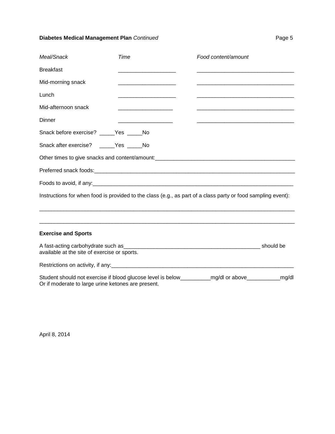## **Diabetes Medical Management Plan** *Continued* **Page 5 Page 5**

| Meal/Snack                                         | Time | Food content/amount                                                                                             |  |
|----------------------------------------------------|------|-----------------------------------------------------------------------------------------------------------------|--|
| <b>Breakfast</b>                                   |      |                                                                                                                 |  |
| Mid-morning snack                                  |      |                                                                                                                 |  |
| Lunch                                              |      |                                                                                                                 |  |
| Mid-afternoon snack                                |      | and the state of the state of the state of the state of the state of the state of the state of the state of the |  |
| Dinner                                             |      |                                                                                                                 |  |
| Snack before exercise? _____ Yes _____ No          |      |                                                                                                                 |  |
| Snack after exercise? ______ Yes _____ No          |      |                                                                                                                 |  |
|                                                    |      |                                                                                                                 |  |
|                                                    |      |                                                                                                                 |  |
|                                                    |      |                                                                                                                 |  |
|                                                    |      | Instructions for when food is provided to the class (e.g., as part of a class party or food sampling event):    |  |
|                                                    |      |                                                                                                                 |  |
| <b>Exercise and Sports</b>                         |      |                                                                                                                 |  |
| available at the site of exercise or sports.       |      |                                                                                                                 |  |
|                                                    |      |                                                                                                                 |  |
| Or if moderate to large urine ketones are present. |      | Student should not exercise if blood glucose level is below____________mg/dl or above______________mg/dl        |  |

April 8, 2014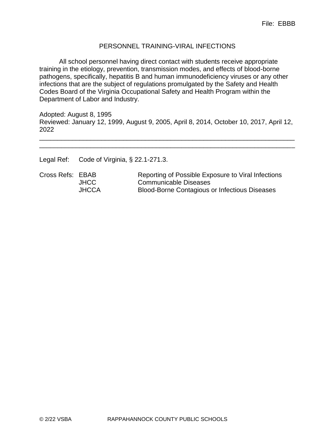## PERSONNEL TRAINING-VIRAL INFECTIONS

All school personnel having direct contact with students receive appropriate training in the etiology, prevention, transmission modes, and effects of blood-borne pathogens, specifically, hepatitis B and human immunodeficiency viruses or any other infections that are the subject of regulations promulgated by the Safety and Health Codes Board of the Virginia Occupational Safety and Health Program within the Department of Labor and Industry.

Adopted: August 8, 1995 Reviewed: January 12, 1999, August 9, 2005, April 8, 2014, October 10, 2017, April 12, 2022

\_\_\_\_\_\_\_\_\_\_\_\_\_\_\_\_\_\_\_\_\_\_\_\_\_\_\_\_\_\_\_\_\_\_\_\_\_\_\_\_\_\_\_\_\_\_\_\_\_\_\_\_\_\_\_\_\_\_\_\_\_\_\_\_\_\_\_\_\_\_ \_\_\_\_\_\_\_\_\_\_\_\_\_\_\_\_\_\_\_\_\_\_\_\_\_\_\_\_\_\_\_\_\_\_\_\_\_\_\_\_\_\_\_\_\_\_\_\_\_\_\_\_\_\_\_\_\_\_\_\_\_\_\_\_\_\_\_\_\_\_

Legal Ref: Code of Virginia, § 22.1-271.3.

Cross Refs: EBAB Reporting of Possible Exposure to Viral Infections JHCC Communicable Diseases JHCCA Blood-Borne Contagious or Infectious Diseases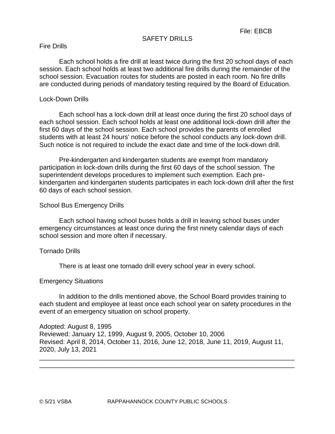#### SAFETY DRILLS

#### Fire Drills

Each school holds a fire drill at least twice during the first 20 school days of each session. Each school holds at least two additional fire drills during the remainder of the school session. Evacuation routes for students are posted in each room. No fire drills are conducted during periods of mandatory testing required by the Board of Education.

#### Lock-Down Drills

Each school has a lock-down drill at least once during the first 20 school days of each school session. Each school holds at least one additional lock-down drill after the first 60 days of the school session. Each school provides the parents of enrolled students with at least 24 hours' notice before the school conducts any lock-down drill. Such notice is not required to include the exact date and time of the lock-down drill.

Pre-kindergarten and kindergarten students are exempt from mandatory participation in lock-down drills during the first 60 days of the school session. The superintendent develops procedures to implement such exemption. Each prekindergarten and kindergarten students participates in each lock-down drill after the first 60 days of each school session.

#### School Bus Emergency Drills

Each school having school buses holds a drill in leaving school buses under emergency circumstances at least once during the first ninety calendar days of each school session and more often if necessary.

#### Tornado Drills

There is at least one tornado drill every school year in every school.

#### Emergency Situations

In addition to the drills mentioned above, the School Board provides training to each student and employee at least once each school year on safety procedures in the event of an emergency situation on school property.

Adopted: August 8, 1995 Reviewed: January 12, 1999, August 9, 2005, October 10, 2006 Revised: April 8, 2014, October 11, 2016, June 12, 2018, June 11, 2019, August 11, 2020, July 13, 2021 \_\_\_\_\_\_\_\_\_\_\_\_\_\_\_\_\_\_\_\_\_\_\_\_\_\_\_\_\_\_\_\_\_\_\_\_\_\_\_\_\_\_\_\_\_\_\_\_\_\_\_\_\_\_\_\_\_\_\_\_\_\_\_\_\_\_\_\_\_\_

\_\_\_\_\_\_\_\_\_\_\_\_\_\_\_\_\_\_\_\_\_\_\_\_\_\_\_\_\_\_\_\_\_\_\_\_\_\_\_\_\_\_\_\_\_\_\_\_\_\_\_\_\_\_\_\_\_\_\_\_\_\_\_\_\_\_\_\_\_\_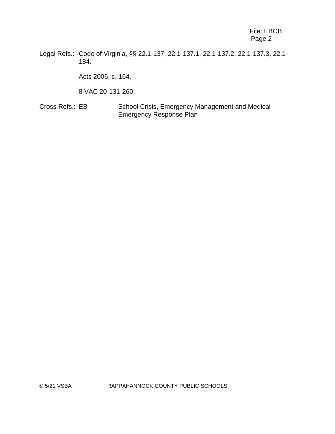Legal Refs.: Code of Virginia, §§ 22.1-137, 22.1-137.1, 22.1-137.2, 22.1-137.3, 22.1- 184.

Acts 2006, c. 164.

8 VAC 20-131-260.

Cross Refs.: EB School Crisis, Emergency Management and Medical Emergency Response Plan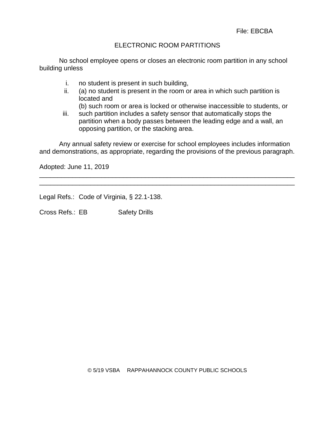## ELECTRONIC ROOM PARTITIONS

No school employee opens or closes an electronic room partition in any school building unless

- i. no student is present in such building,
- ii. (a) no student is present in the room or area in which such partition is located and
- (b) such room or area is locked or otherwise inaccessible to students, or
- iii. such partition includes a safety sensor that automatically stops the partition when a body passes between the leading edge and a wall, an opposing partition, or the stacking area.

Any annual safety review or exercise for school employees includes information and demonstrations, as appropriate, regarding the provisions of the previous paragraph.

\_\_\_\_\_\_\_\_\_\_\_\_\_\_\_\_\_\_\_\_\_\_\_\_\_\_\_\_\_\_\_\_\_\_\_\_\_\_\_\_\_\_\_\_\_\_\_\_\_\_\_\_\_\_\_\_\_\_\_\_\_\_\_\_\_\_\_\_\_\_ \_\_\_\_\_\_\_\_\_\_\_\_\_\_\_\_\_\_\_\_\_\_\_\_\_\_\_\_\_\_\_\_\_\_\_\_\_\_\_\_\_\_\_\_\_\_\_\_\_\_\_\_\_\_\_\_\_\_\_\_\_\_\_\_\_\_\_\_\_\_

Adopted: June 11, 2019

Legal Refs.: Code of Virginia, § 22.1-138.

Cross Refs.: EB Safety Drills

© 5/19 VSBA RAPPAHANNOCK COUNTY PUBLIC SCHOOLS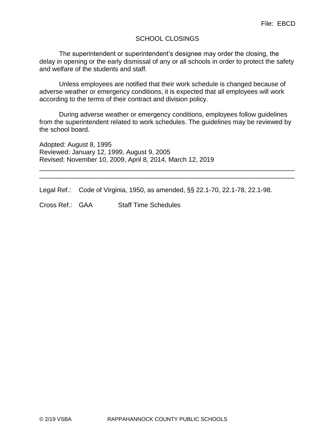## SCHOOL CLOSINGS

The superintendent or superintendent's designee may order the closing, the delay in opening or the early dismissal of any or all schools in order to protect the safety and welfare of the students and staff.

Unless employees are notified that their work schedule is changed because of adverse weather or emergency conditions, it is expected that all employees will work according to the terms of their contract and division policy.

During adverse weather or emergency conditions, employees follow guidelines from the superintendent related to work schedules. The guidelines may be reviewed by the school board.

\_\_\_\_\_\_\_\_\_\_\_\_\_\_\_\_\_\_\_\_\_\_\_\_\_\_\_\_\_\_\_\_\_\_\_\_\_\_\_\_\_\_\_\_\_\_\_\_\_\_\_\_\_\_\_\_\_\_\_\_\_\_\_\_\_\_\_\_\_\_ \_\_\_\_\_\_\_\_\_\_\_\_\_\_\_\_\_\_\_\_\_\_\_\_\_\_\_\_\_\_\_\_\_\_\_\_\_\_\_\_\_\_\_\_\_\_\_\_\_\_\_\_\_\_\_\_\_\_\_\_\_\_\_\_\_\_\_\_\_\_

Adopted: August 8, 1995 Reviewed: January 12, 1999, August 9, 2005 Revised: November 10, 2009, April 8, 2014, March 12, 2019

Legal Ref.: Code of Virginia, 1950, as amended, §§ 22.1-70, 22.1-78, 22.1-98.

Cross Ref.: GAA Staff Time Schedules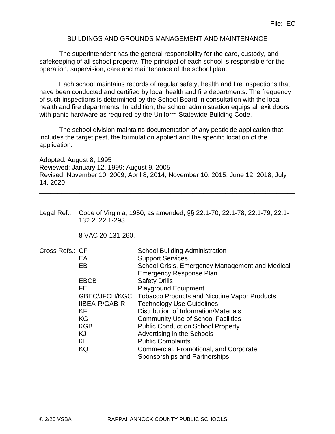## BUILDINGS AND GROUNDS MANAGEMENT AND MAINTENANCE

The superintendent has the general responsibility for the care, custody, and safekeeping of all school property. The principal of each school is responsible for the operation, supervision, care and maintenance of the school plant.

Each school maintains records of regular safety, health and fire inspections that have been conducted and certified by local health and fire departments. The frequency of such inspections is determined by the School Board in consultation with the local health and fire departments. In addition, the school administration equips all exit doors with panic hardware as required by the Uniform Statewide Building Code.

The school division maintains documentation of any pesticide application that includes the target pest, the formulation applied and the specific location of the application.

Adopted: August 8, 1995 Reviewed: January 12, 1999; August 9, 2005 Revised: November 10, 2009; April 8, 2014; November 10, 2015; June 12, 2018; July 14, 2020

\_\_\_\_\_\_\_\_\_\_\_\_\_\_\_\_\_\_\_\_\_\_\_\_\_\_\_\_\_\_\_\_\_\_\_\_\_\_\_\_\_\_\_\_\_\_\_\_\_\_\_\_\_\_\_\_\_\_\_\_\_\_\_\_\_\_\_\_\_\_ \_\_\_\_\_\_\_\_\_\_\_\_\_\_\_\_\_\_\_\_\_\_\_\_\_\_\_\_\_\_\_\_\_\_\_\_\_\_\_\_\_\_\_\_\_\_\_\_\_\_\_\_\_\_\_\_\_\_\_\_\_\_\_\_\_\_\_\_\_\_

Legal Ref.: Code of Virginia, 1950, as amended, §§ 22.1-70, 22.1-78, 22.1-79, 22.1- 132.2, 22.1-293.

8 VAC 20-131-260.

| Cross Refs.: CF |                      | <b>School Building Administration</b>               |
|-----------------|----------------------|-----------------------------------------------------|
|                 | EA                   | <b>Support Services</b>                             |
|                 | EB                   | School Crisis, Emergency Management and Medical     |
|                 |                      | <b>Emergency Response Plan</b>                      |
|                 | <b>EBCB</b>          | <b>Safety Drills</b>                                |
|                 | FE.                  | <b>Playground Equipment</b>                         |
|                 | GBEC/JFCH/KGC        | <b>Tobacco Products and Nicotine Vapor Products</b> |
|                 | <b>IIBEA-R/GAB-R</b> | <b>Technology Use Guidelines</b>                    |
|                 | KF.                  | Distribution of Information/Materials               |
|                 | KG                   | <b>Community Use of School Facilities</b>           |
|                 | <b>KGB</b>           | <b>Public Conduct on School Property</b>            |
|                 | KJ                   | Advertising in the Schools                          |
|                 | KL                   | <b>Public Complaints</b>                            |
|                 | KQ                   | Commercial, Promotional, and Corporate              |
|                 |                      | Sponsorships and Partnerships                       |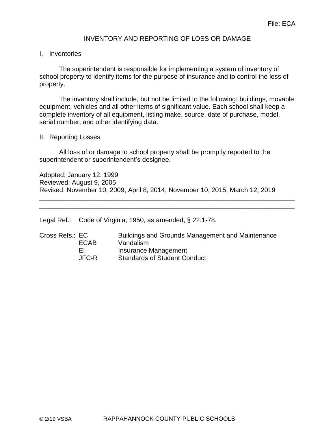## INVENTORY AND REPORTING OF LOSS OR DAMAGE

#### I. Inventories

The superintendent is responsible for implementing a system of inventory of school property to identify items for the purpose of insurance and to control the loss of property.

The inventory shall include, but not be limited to the following: buildings, movable equipment, vehicles and all other items of significant value. Each school shall keep a complete inventory of all equipment, listing make, source, date of purchase, model, serial number, and other identifying data.

#### II. Reporting Losses

All loss of or damage to school property shall be promptly reported to the superintendent or superintendent's designee.

Adopted: January 12, 1999 Reviewed: August 9, 2005 Revised: November 10, 2009, April 8, 2014, November 10, 2015, March 12, 2019

\_\_\_\_\_\_\_\_\_\_\_\_\_\_\_\_\_\_\_\_\_\_\_\_\_\_\_\_\_\_\_\_\_\_\_\_\_\_\_\_\_\_\_\_\_\_\_\_\_\_\_\_\_\_\_\_\_\_\_\_\_\_\_\_\_\_\_\_\_\_ \_\_\_\_\_\_\_\_\_\_\_\_\_\_\_\_\_\_\_\_\_\_\_\_\_\_\_\_\_\_\_\_\_\_\_\_\_\_\_\_\_\_\_\_\_\_\_\_\_\_\_\_\_\_\_\_\_\_\_\_\_\_\_\_\_\_\_\_\_\_

Legal Ref.: Code of Virginia, 1950, as amended, § 22.1-78.

| Cross Refs.: EC |       | <b>Buildings and Grounds Management and Maintenance</b> |  |
|-----------------|-------|---------------------------------------------------------|--|
|                 | ECAB  | Vandalism                                               |  |
|                 | ΕL    | Insurance Management                                    |  |
|                 | JFC-R | <b>Standards of Student Conduct</b>                     |  |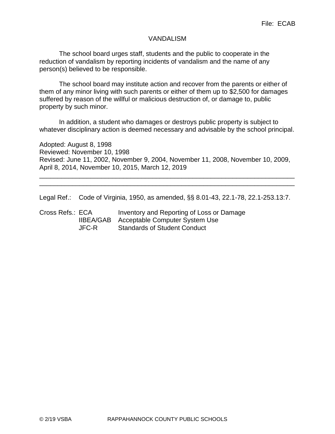#### VANDALISM

The school board urges staff, students and the public to cooperate in the reduction of vandalism by reporting incidents of vandalism and the name of any person(s) believed to be responsible.

The school board may institute action and recover from the parents or either of them of any minor living with such parents or either of them up to \$2,500 for damages suffered by reason of the willful or malicious destruction of, or damage to, public property by such minor.

In addition, a student who damages or destroys public property is subject to whatever disciplinary action is deemed necessary and advisable by the school principal.

Adopted: August 8, 1998 Reviewed: November 10, 1998 Revised: June 11, 2002, November 9, 2004, November 11, 2008, November 10, 2009, April 8, 2014, November 10, 2015, March 12, 2019

\_\_\_\_\_\_\_\_\_\_\_\_\_\_\_\_\_\_\_\_\_\_\_\_\_\_\_\_\_\_\_\_\_\_\_\_\_\_\_\_\_\_\_\_\_\_\_\_\_\_\_\_\_\_\_\_\_\_\_\_\_\_\_\_\_\_\_\_\_\_ \_\_\_\_\_\_\_\_\_\_\_\_\_\_\_\_\_\_\_\_\_\_\_\_\_\_\_\_\_\_\_\_\_\_\_\_\_\_\_\_\_\_\_\_\_\_\_\_\_\_\_\_\_\_\_\_\_\_\_\_\_\_\_\_\_\_\_\_\_\_

Legal Ref.: Code of Virginia, 1950, as amended, §§ 8.01-43, 22.1-78, 22.1-253.13:7.

Cross Refs.: ECA Inventory and Reporting of Loss or Damage IIBEA/GAB Acceptable Computer System Use JFC-R Standards of Student Conduct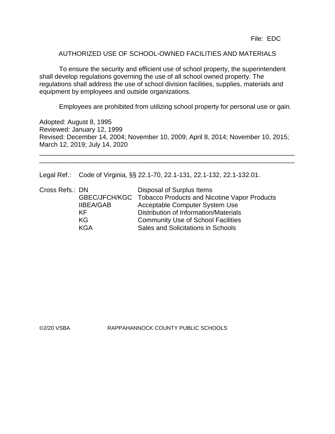File: EDC

#### AUTHORIZED USE OF SCHOOL-OWNED FACILITIES AND MATERIALS

To ensure the security and efficient use of school property, the superintendent shall develop regulations governing the use of all school owned property. The regulations shall address the use of school division facilities, supplies, materials and equipment by employees and outside organizations.

Employees are prohibited from utilizing school property for personal use or gain.

Adopted: August 8, 1995 Reviewed: January 12, 1999 Revised: December 14, 2004; November 10, 2009; April 8, 2014; November 10, 2015; March 12, 2019; July 14, 2020

\_\_\_\_\_\_\_\_\_\_\_\_\_\_\_\_\_\_\_\_\_\_\_\_\_\_\_\_\_\_\_\_\_\_\_\_\_\_\_\_\_\_\_\_\_\_\_\_\_\_\_\_\_\_\_\_\_\_\_\_\_\_\_\_\_\_\_\_\_\_ \_\_\_\_\_\_\_\_\_\_\_\_\_\_\_\_\_\_\_\_\_\_\_\_\_\_\_\_\_\_\_\_\_\_\_\_\_\_\_\_\_\_\_\_\_\_\_\_\_\_\_\_\_\_\_\_\_\_\_\_\_\_\_\_\_\_\_\_\_\_

Legal Ref.: Code of Virginia, §§ 22.1-70, 22.1-131, 22.1-132, 22.1-132.01.

| Cross Refs.: DN |                  | Disposal of Surplus Items                                  |
|-----------------|------------------|------------------------------------------------------------|
|                 |                  | GBEC/JFCH/KGC Tobacco Products and Nicotine Vapor Products |
|                 | <b>IIBEA/GAB</b> | Acceptable Computer System Use                             |
|                 | KF.              | Distribution of Information/Materials                      |
|                 | KG               | <b>Community Use of School Facilities</b>                  |
|                 | KGA              | Sales and Solicitations in Schools                         |

©2/20 VSBA RAPPAHANNOCK COUNTY PUBLIC SCHOOLS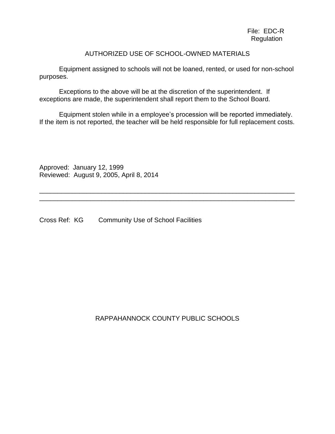File: EDC-R Regulation

#### AUTHORIZED USE OF SCHOOL-OWNED MATERIALS

Equipment assigned to schools will not be loaned, rented, or used for non-school purposes.

Exceptions to the above will be at the discretion of the superintendent. If exceptions are made, the superintendent shall report them to the School Board.

Equipment stolen while in a employee's procession will be reported immediately. If the item is not reported, the teacher will be held responsible for full replacement costs.

\_\_\_\_\_\_\_\_\_\_\_\_\_\_\_\_\_\_\_\_\_\_\_\_\_\_\_\_\_\_\_\_\_\_\_\_\_\_\_\_\_\_\_\_\_\_\_\_\_\_\_\_\_\_\_\_\_\_\_\_\_\_\_\_\_\_\_\_\_\_ \_\_\_\_\_\_\_\_\_\_\_\_\_\_\_\_\_\_\_\_\_\_\_\_\_\_\_\_\_\_\_\_\_\_\_\_\_\_\_\_\_\_\_\_\_\_\_\_\_\_\_\_\_\_\_\_\_\_\_\_\_\_\_\_\_\_\_\_\_\_

Approved: January 12, 1999 Reviewed: August 9, 2005, April 8, 2014

Cross Ref: KG Community Use of School Facilities

RAPPAHANNOCK COUNTY PUBLIC SCHOOLS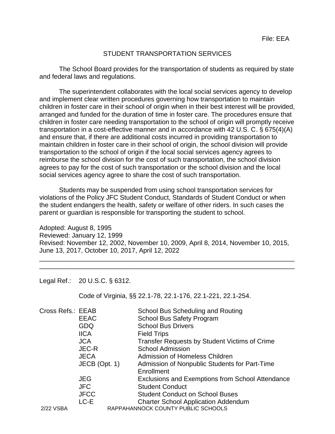#### STUDENT TRANSPORTATION SERVICES

The School Board provides for the transportation of students as required by state and federal laws and regulations.

The superintendent collaborates with the local social services agency to develop and implement clear written procedures governing how transportation to maintain children in foster care in their school of origin when in their best interest will be provided, arranged and funded for the duration of time in foster care. The procedures ensure that children in foster care needing transportation to the school of origin will promptly receive transportation in a cost-effective manner and in accordance with 42 U.S. C. § 675(4)(A) and ensure that, if there are additional costs incurred in providing transportation to maintain children in foster care in their school of origin, the school division will provide transportation to the school of origin if the local social services agency agrees to reimburse the school division for the cost of such transportation, the school division agrees to pay for the cost of such transportation or the school division and the local social services agency agree to share the cost of such transportation.

Students may be suspended from using school transportation services for violations of the Policy JFC Student Conduct, Standards of Student Conduct or when the student endangers the health, safety or welfare of other riders. In such cases the parent or guardian is responsible for transporting the student to school.

Adopted: August 8, 1995 Reviewed: January 12, 1999 Revised: November 12, 2002, November 10, 2009, April 8, 2014, November 10, 2015, June 13, 2017, October 10, 2017, April 12, 2022

\_\_\_\_\_\_\_\_\_\_\_\_\_\_\_\_\_\_\_\_\_\_\_\_\_\_\_\_\_\_\_\_\_\_\_\_\_\_\_\_\_\_\_\_\_\_\_\_\_\_\_\_\_\_\_\_\_\_\_\_\_\_\_\_\_\_\_\_\_\_ \_\_\_\_\_\_\_\_\_\_\_\_\_\_\_\_\_\_\_\_\_\_\_\_\_\_\_\_\_\_\_\_\_\_\_\_\_\_\_\_\_\_\_\_\_\_\_\_\_\_\_\_\_\_\_\_\_\_\_\_\_\_\_\_\_\_\_\_\_\_

Legal Ref.: 20 U.S.C. § 6312.

Code of Virginia, §§ 22.1-78, 22.1-176, 22.1-221, 22.1-254.

| Cross Refs.: EEAB |               | School Bus Scheduling and Routing                    |
|-------------------|---------------|------------------------------------------------------|
|                   | <b>EEAC</b>   | <b>School Bus Safety Program</b>                     |
|                   | <b>GDQ</b>    | <b>School Bus Drivers</b>                            |
|                   | <b>IICA</b>   | <b>Field Trips</b>                                   |
|                   | <b>JCA</b>    | <b>Transfer Requests by Student Victims of Crime</b> |
|                   | <b>JEC-R</b>  | <b>School Admission</b>                              |
|                   | <b>JECA</b>   | Admission of Homeless Children                       |
|                   | JECB (Opt. 1) | Admission of Nonpublic Students for Part-Time        |
|                   |               | Enrollment                                           |
|                   | <b>JEG</b>    | Exclusions and Exemptions from School Attendance     |
|                   | <b>JFC</b>    | <b>Student Conduct</b>                               |
|                   | <b>JFCC</b>   | <b>Student Conduct on School Buses</b>               |
|                   | LC-E          | <b>Charter School Application Addendum</b>           |
| 2/22 VSBA         |               | RAPPAHANNOCK COUNTY PUBLIC SCHOOLS                   |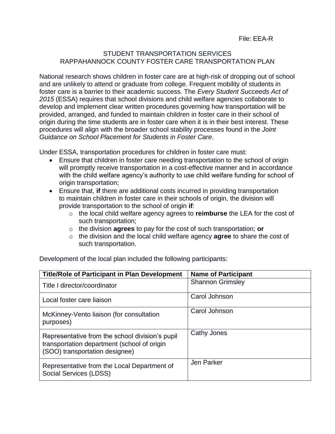File: EEA-R

## STUDENT TRANSPORTATION SERVICES RAPPAHANNOCK COUNTY FOSTER CARE TRANSPORTATION PLAN

National research shows children in foster care are at high-risk of dropping out of school and are unlikely to attend or graduate from college. Frequent mobility of students in foster care is a barrier to their academic success. The *Every Student Succeeds Act of 2015* (ESSA) requires that school divisions and child welfare agencies collaborate to develop and implement clear written procedures governing how transportation will be provided, arranged, and funded to maintain children in foster care in their school of origin during the time students are in foster care when it is in their best interest. These procedures will align with the broader school stability processes found in the *Joint Guidance on School Placement for Students in Foster Care*.

Under ESSA, transportation procedures for children in foster care must:

- Ensure that children in foster care needing transportation to the school of origin will promptly receive transportation in a cost-effective manner and in accordance with the child welfare agency's authority to use child welfare funding for school of origin transportation;
- Ensure that, **if** there are additional costs incurred in providing transportation to maintain children in foster care in their schools of origin, the division will provide transportation to the school of origin **if**:
	- o the local child welfare agency agrees to **reimburse** the LEA for the cost of such transportation;
	- o the division **agrees** to pay for the cost of such transportation; **or**
	- o the division and the local child welfare agency **agree** to share the cost of such transportation.

Development of the local plan included the following participants:

| <b>Title/Role of Participant in Plan Development</b>                                                                             | <b>Name of Participant</b> |
|----------------------------------------------------------------------------------------------------------------------------------|----------------------------|
| Title I director/coordinator                                                                                                     | <b>Shannon Grimsley</b>    |
| Local foster care liaison                                                                                                        | Carol Johnson              |
| McKinney-Vento liaison (for consultation<br>purposes)                                                                            | Carol Johnson              |
| Representative from the school division's pupil<br>transportation department (school of origin<br>(SOO) transportation designee) | Cathy Jones                |
| Representative from the Local Department of<br>Social Services (LDSS)                                                            | Jen Parker                 |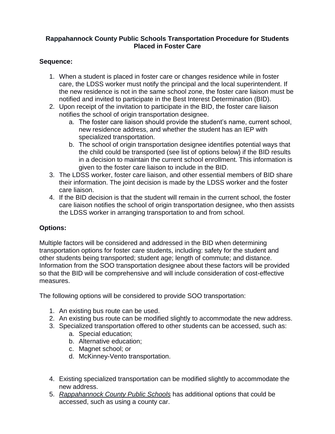## **Rappahannock County Public Schools Transportation Procedure for Students Placed in Foster Care**

## **Sequence:**

- 1. When a student is placed in foster care or changes residence while in foster care, the LDSS worker must notify the principal and the local superintendent. If the new residence is not in the same school zone, the foster care liaison must be notified and invited to participate in the Best Interest Determination (BID).
- 2. Upon receipt of the invitation to participate in the BID, the foster care liaison notifies the school of origin transportation designee.
	- a. The foster care liaison should provide the student's name, current school, new residence address, and whether the student has an IEP with specialized transportation.
	- b. The school of origin transportation designee identifies potential ways that the child could be transported (see list of options below) if the BID results in a decision to maintain the current school enrollment. This information is given to the foster care liaison to include in the BID.
- 3. The LDSS worker, foster care liaison, and other essential members of BID share their information. The joint decision is made by the LDSS worker and the foster care liaison.
- 4. If the BID decision is that the student will remain in the current school, the foster care liaison notifies the school of origin transportation designee, who then assists the LDSS worker in arranging transportation to and from school.

## **Options:**

Multiple factors will be considered and addressed in the BID when determining transportation options for foster care students, including: safety for the student and other students being transported; student age; length of commute; and distance. Information from the SOO transportation designee about these factors will be provided so that the BID will be comprehensive and will include consideration of cost-effective measures.

The following options will be considered to provide SOO transportation:

- 1. An existing bus route can be used.
- 2. An existing bus route can be modified slightly to accommodate the new address.
- 3. Specialized transportation offered to other students can be accessed, such as:
	- a. Special education;
	- b. Alternative education;
	- c. Magnet school; or
	- d. McKinney-Vento transportation.
- 4. Existing specialized transportation can be modified slightly to accommodate the new address.
- 5. *Rappahannock County Public Schools* has additional options that could be accessed, such as using a county car.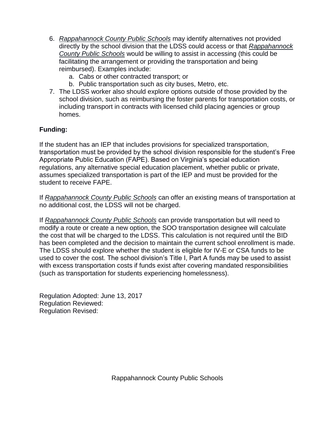- 6. *Rappahannock County Public Schools* may identify alternatives not provided directly by the school division that the LDSS could access or that *Rappahannock County Public Schools* would be willing to assist in accessing (this could be facilitating the arrangement or providing the transportation and being reimbursed). Examples include:
	- a. Cabs or other contracted transport; or
	- b. Public transportation such as city buses, Metro, etc.
- 7. The LDSS worker also should explore options outside of those provided by the school division, such as reimbursing the foster parents for transportation costs, or including transport in contracts with licensed child placing agencies or group homes.

# **Funding:**

If the student has an IEP that includes provisions for specialized transportation, transportation must be provided by the school division responsible for the student's Free Appropriate Public Education (FAPE). Based on Virginia's special education regulations, any alternative special education placement, whether public or private, assumes specialized transportation is part of the IEP and must be provided for the student to receive FAPE.

If *Rappahannock County Public Schools* can offer an existing means of transportation at no additional cost, the LDSS will not be charged.

If *Rappahannock County Public Schools* can provide transportation but will need to modify a route or create a new option, the SOO transportation designee will calculate the cost that will be charged to the LDSS. This calculation is not required until the BID has been completed and the decision to maintain the current school enrollment is made. The LDSS should explore whether the student is eligible for IV-E or CSA funds to be used to cover the cost. The school division's Title I, Part A funds may be used to assist with excess transportation costs if funds exist after covering mandated responsibilities (such as transportation for students experiencing homelessness).

Regulation Adopted: June 13, 2017 Regulation Reviewed: Regulation Revised: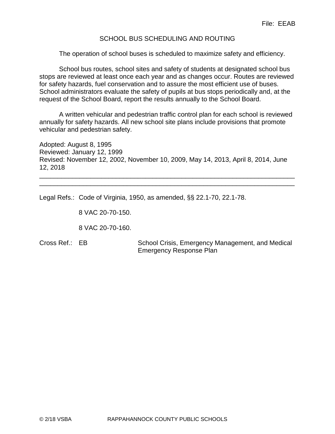## SCHOOL BUS SCHEDULING AND ROUTING

The operation of school buses is scheduled to maximize safety and efficiency.

School bus routes, school sites and safety of students at designated school bus stops are reviewed at least once each year and as changes occur. Routes are reviewed for safety hazards, fuel conservation and to assure the most efficient use of buses. School administrators evaluate the safety of pupils at bus stops periodically and, at the request of the School Board, report the results annually to the School Board.

A written vehicular and pedestrian traffic control plan for each school is reviewed annually for safety hazards. All new school site plans include provisions that promote vehicular and pedestrian safety.

Adopted: August 8, 1995 Reviewed: January 12, 1999 Revised: November 12, 2002, November 10, 2009, May 14, 2013, April 8, 2014, June 12, 2018

\_\_\_\_\_\_\_\_\_\_\_\_\_\_\_\_\_\_\_\_\_\_\_\_\_\_\_\_\_\_\_\_\_\_\_\_\_\_\_\_\_\_\_\_\_\_\_\_\_\_\_\_\_\_\_\_\_\_\_\_\_\_\_\_\_\_\_\_\_\_ \_\_\_\_\_\_\_\_\_\_\_\_\_\_\_\_\_\_\_\_\_\_\_\_\_\_\_\_\_\_\_\_\_\_\_\_\_\_\_\_\_\_\_\_\_\_\_\_\_\_\_\_\_\_\_\_\_\_\_\_\_\_\_\_\_\_\_\_\_\_

Legal Refs.: Code of Virginia, 1950, as amended, §§ 22.1-70, 22.1-78.

8 VAC 20-70-150.

8 VAC 20-70-160.

Cross Ref.: EB School Crisis, Emergency Management, and Medical Emergency Response Plan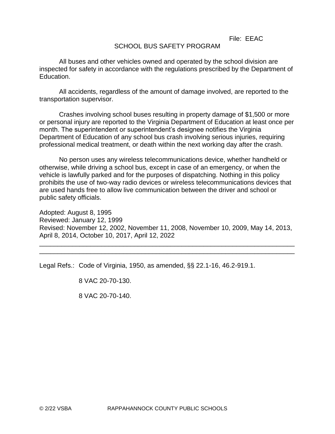File: EEAC

## SCHOOL BUS SAFETY PROGRAM

All buses and other vehicles owned and operated by the school division are inspected for safety in accordance with the regulations prescribed by the Department of Education.

All accidents, regardless of the amount of damage involved, are reported to the transportation supervisor.

Crashes involving school buses resulting in property damage of \$1,500 or more or personal injury are reported to the Virginia Department of Education at least once per month. The superintendent or superintendent's designee notifies the Virginia Department of Education of any school bus crash involving serious injuries, requiring professional medical treatment, or death within the next working day after the crash.

No person uses any wireless telecommunications device, whether handheld or otherwise, while driving a school bus, except in case of an emergency, or when the vehicle is lawfully parked and for the purposes of dispatching. Nothing in this policy prohibits the use of two-way radio devices or wireless telecommunications devices that are used hands free to allow live communication between the driver and school or public safety officials.

Adopted: August 8, 1995 Reviewed: January 12, 1999 Revised: November 12, 2002, November 11, 2008, November 10, 2009, May 14, 2013, April 8, 2014, October 10, 2017, April 12, 2022

\_\_\_\_\_\_\_\_\_\_\_\_\_\_\_\_\_\_\_\_\_\_\_\_\_\_\_\_\_\_\_\_\_\_\_\_\_\_\_\_\_\_\_\_\_\_\_\_\_\_\_\_\_\_\_\_\_\_\_\_\_\_\_\_\_\_\_\_\_\_ \_\_\_\_\_\_\_\_\_\_\_\_\_\_\_\_\_\_\_\_\_\_\_\_\_\_\_\_\_\_\_\_\_\_\_\_\_\_\_\_\_\_\_\_\_\_\_\_\_\_\_\_\_\_\_\_\_\_\_\_\_\_\_\_\_\_\_\_\_\_

Legal Refs.: Code of Virginia, 1950, as amended, §§ 22.1-16, 46.2-919.1.

8 VAC 20-70-130.

8 VAC 20-70-140.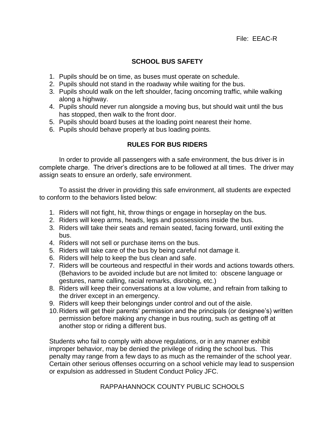## **SCHOOL BUS SAFETY**

- 1. Pupils should be on time, as buses must operate on schedule.
- 2. Pupils should not stand in the roadway while waiting for the bus.
- 3. Pupils should walk on the left shoulder, facing oncoming traffic, while walking along a highway.
- 4. Pupils should never run alongside a moving bus, but should wait until the bus has stopped, then walk to the front door.
- 5. Pupils should board buses at the loading point nearest their home.
- 6. Pupils should behave properly at bus loading points.

# **RULES FOR BUS RIDERS**

In order to provide all passengers with a safe environment, the bus driver is in complete charge. The driver's directions are to be followed at all times. The driver may assign seats to ensure an orderly, safe environment.

To assist the driver in providing this safe environment, all students are expected to conform to the behaviors listed below:

- 1. Riders will not fight, hit, throw things or engage in horseplay on the bus.
- 2. Riders will keep arms, heads, legs and possessions inside the bus.
- 3. Riders will take their seats and remain seated, facing forward, until exiting the bus.
- 4. Riders will not sell or purchase items on the bus.
- 5. Riders will take care of the bus by being careful not damage it.
- 6. Riders will help to keep the bus clean and safe.
- 7. Riders will be courteous and respectful in their words and actions towards others. (Behaviors to be avoided include but are not limited to: obscene language or gestures, name calling, racial remarks, disrobing, etc.)
- 8. Riders will keep their conversations at a low volume, and refrain from talking to the driver except in an emergency.
- 9. Riders will keep their belongings under control and out of the aisle.
- 10.Riders will get their parents' permission and the principals (or designee's) written permission before making any change in bus routing, such as getting off at another stop or riding a different bus.

Students who fail to comply with above regulations, or in any manner exhibit improper behavior, may be denied the privilege of riding the school bus. This penalty may range from a few days to as much as the remainder of the school year. Certain other serious offenses occurring on a school vehicle may lead to suspension or expulsion as addressed in Student Conduct Policy JFC.

RAPPAHANNOCK COUNTY PUBLIC SCHOOLS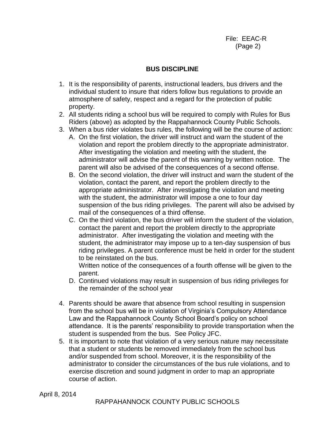File: EEAC-R (Page 2)

## **BUS DISCIPLINE**

- 1. It is the responsibility of parents, instructional leaders, bus drivers and the individual student to insure that riders follow bus regulations to provide an atmosphere of safety, respect and a regard for the protection of public property.
- 2. All students riding a school bus will be required to comply with Rules for Bus Riders (above) as adopted by the Rappahannock County Public Schools.
- 3. When a bus rider violates bus rules, the following will be the course of action:
	- A. On the first violation, the driver will instruct and warn the student of the violation and report the problem directly to the appropriate administrator. After investigating the violation and meeting with the student, the administrator will advise the parent of this warning by written notice. The parent will also be advised of the consequences of a second offense.
	- B. On the second violation, the driver will instruct and warn the student of the violation, contact the parent, and report the problem directly to the appropriate administrator. After investigating the violation and meeting with the student, the administrator will impose a one to four day suspension of the bus riding privileges. The parent will also be advised by mail of the consequences of a third offense.
	- C. On the third violation, the bus driver will inform the student of the violation, contact the parent and report the problem directly to the appropriate administrator. After investigating the violation and meeting with the student, the administrator may impose up to a ten-day suspension of bus riding privileges. A parent conference must be held in order for the student to be reinstated on the bus.

Written notice of the consequences of a fourth offense will be given to the parent.

- D. Continued violations may result in suspension of bus riding privileges for the remainder of the school year
- 4. Parents should be aware that absence from school resulting in suspension from the school bus will be in violation of Virginia's Compulsory Attendance Law and the Rappahannock County School Board's policy on school attendance. It is the parents' responsibility to provide transportation when the student is suspended from the bus. See Policy JFC.
- 5. It is important to note that violation of a very serious nature may necessitate that a student or students be removed immediately from the school bus and/or suspended from school. Moreover, it is the responsibility of the administrator to consider the circumstances of the bus rule violations, and to exercise discretion and sound judgment in order to map an appropriate course of action.

April 8, 2014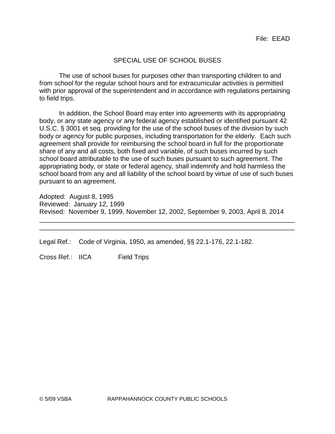## SPECIAL USE OF SCHOOL BUSES

The use of school buses for purposes other than transporting children to and from school for the regular school hours and for extracurricular activities is permitted with prior approval of the superintendent and in accordance with regulations pertaining to field trips.

In addition, the School Board may enter into agreements with its appropriating body, or any state agency or any federal agency established or identified pursuant 42 U.S.C. § 3001 et seq. providing for the use of the school buses of the division by such body or agency for public purposes, including transportation for the elderly. Each such agreement shall provide for reimbursing the school board in full for the proportionate share of any and all costs, both fixed and variable, of such buses incurred by such school board attributable to the use of such buses pursuant to such agreement. The appropriating body, or state or federal agency, shall indemnify and hold harmless the school board from any and all liability of the school board by virtue of use of such buses pursuant to an agreement.

Adopted: August 8, 1995 Reviewed: January 12, 1999 Revised: November 9, 1999, November 12, 2002, September 9, 2003, April 8, 2014

\_\_\_\_\_\_\_\_\_\_\_\_\_\_\_\_\_\_\_\_\_\_\_\_\_\_\_\_\_\_\_\_\_\_\_\_\_\_\_\_\_\_\_\_\_\_\_\_\_\_\_\_\_\_\_\_\_\_\_\_\_\_\_\_\_\_\_\_\_\_ \_\_\_\_\_\_\_\_\_\_\_\_\_\_\_\_\_\_\_\_\_\_\_\_\_\_\_\_\_\_\_\_\_\_\_\_\_\_\_\_\_\_\_\_\_\_\_\_\_\_\_\_\_\_\_\_\_\_\_\_\_\_\_\_\_\_\_\_\_\_

Legal Ref.: Code of Virginia, 1950, as amended, §§ 22.1-176, 22.1-182.

Cross Ref.: IICA Field Trips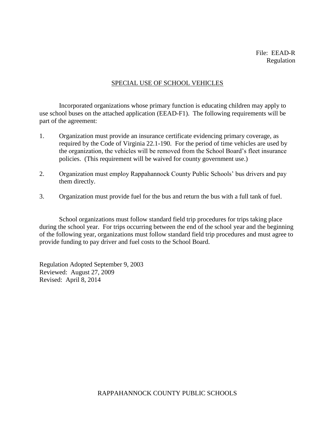#### SPECIAL USE OF SCHOOL VEHICLES

Incorporated organizations whose primary function is educating children may apply to use school buses on the attached application (EEAD-F1). The following requirements will be part of the agreement:

- 1. Organization must provide an insurance certificate evidencing primary coverage, as required by the Code of Virginia 22.1-190. For the period of time vehicles are used by the organization, the vehicles will be removed from the School Board's fleet insurance policies. (This requirement will be waived for county government use.)
- 2. Organization must employ Rappahannock County Public Schools' bus drivers and pay them directly.
- 3. Organization must provide fuel for the bus and return the bus with a full tank of fuel.

School organizations must follow standard field trip procedures for trips taking place during the school year. For trips occurring between the end of the school year and the beginning of the following year, organizations must follow standard field trip procedures and must agree to provide funding to pay driver and fuel costs to the School Board.

Regulation Adopted September 9, 2003 Reviewed: August 27, 2009 Revised: April 8, 2014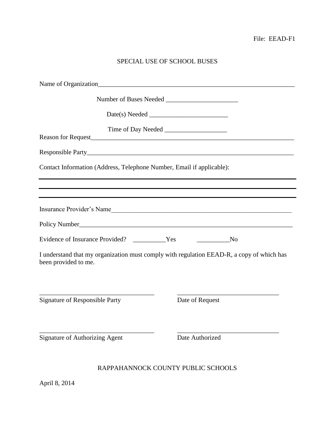# SPECIAL USE OF SCHOOL BUSES

| Contact Information (Address, Telephone Number, Email if applicable):                                                                                                                                                               |                             |
|-------------------------------------------------------------------------------------------------------------------------------------------------------------------------------------------------------------------------------------|-----------------------------|
| ,我们也不能在这里的时候,我们也不能在这里的时候,我们也不能会不能会不能会不能会不能会不能会不能会不能会不能会不能会。<br>第2012章 我们的时候,我们的时候,我们的时候,我们的时候,我们的时候,我们的时候,我们的时候,我们的时候,我们的时候,我们的时候,我们的时候,我们的时候,我<br>,我们也不会有什么。""我们的人,我们也不会有什么?""我们的人,我们也不会有什么?""我们的人,我们也不会有什么?""我们的人,我们也不会有什么?""我们的人 |                             |
| Insurance Provider's Name                                                                                                                                                                                                           |                             |
|                                                                                                                                                                                                                                     |                             |
|                                                                                                                                                                                                                                     | $\overline{\phantom{a}}$ No |
| I understand that my organization must comply with regulation EEAD-R, a copy of which has<br>been provided to me.                                                                                                                   |                             |
| <b>Signature of Responsible Party</b>                                                                                                                                                                                               | Date of Request             |
| <b>Signature of Authorizing Agent</b>                                                                                                                                                                                               | Date Authorized             |
| RAPPAHANNOCK COUNTY PUBLIC SCHOOLS                                                                                                                                                                                                  |                             |

April 8, 2014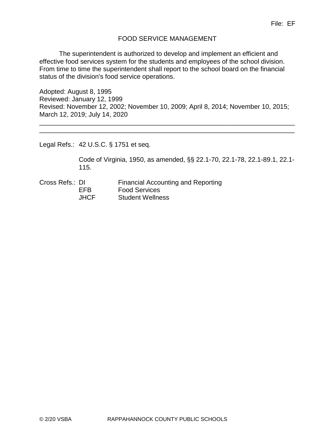## FOOD SERVICE MANAGEMENT

The superintendent is authorized to develop and implement an efficient and effective food services system for the students and employees of the school division. From time to time the superintendent shall report to the school board on the financial status of the division's food service operations.

Adopted: August 8, 1995 Reviewed: January 12, 1999 Revised: November 12, 2002; November 10, 2009; April 8, 2014; November 10, 2015; March 12, 2019; July 14, 2020

\_\_\_\_\_\_\_\_\_\_\_\_\_\_\_\_\_\_\_\_\_\_\_\_\_\_\_\_\_\_\_\_\_\_\_\_\_\_\_\_\_\_\_\_\_\_\_\_\_\_\_\_\_\_\_\_\_\_\_\_\_\_\_\_\_\_\_\_\_\_ \_\_\_\_\_\_\_\_\_\_\_\_\_\_\_\_\_\_\_\_\_\_\_\_\_\_\_\_\_\_\_\_\_\_\_\_\_\_\_\_\_\_\_\_\_\_\_\_\_\_\_\_\_\_\_\_\_\_\_\_\_\_\_\_\_\_\_\_\_\_

Legal Refs.: 42 U.S.C. § 1751 et seq.

Code of Virginia, 1950, as amended, §§ 22.1-70, 22.1-78, 22.1-89.1, 22.1- 115.

Cross Refs.: DI Financial Accounting and Reporting EFB Food Services JHCF Student Wellness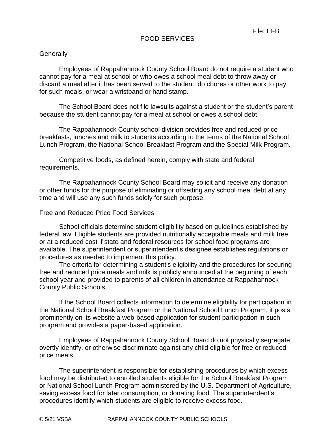## FOOD SERVICES

#### **Generally**

Employees of Rappahannock County School Board do not require a student who cannot pay for a meal at school or who owes a school meal debt to throw away or discard a meal after it has been served to the student, do chores or other work to pay for such meals, or wear a wristband or hand stamp.

The School Board does not file lawsuits against a student or the student's parent because the student cannot pay for a meal at school or owes a school debt.

The Rappahannock County school division provides free and reduced price breakfasts, lunches and milk to students according to the terms of the National School Lunch Program, the National School Breakfast Program and the Special Milk Program.

Competitive foods, as defined herein, comply with state and federal requirements.

The Rappahannock County School Board may solicit and receive any donation or other funds for the purpose of eliminating or offsetting any school meal debt at any time and will use any such funds solely for such purpose.

#### Free and Reduced Price Food Services

School officials determine student eligibility based on guidelines established by federal law. Eligible students are provided nutritionally acceptable meals and milk free or at a reduced cost if state and federal resources for school food programs are available. The superintendent or superintendent's designee establishes regulations or procedures as needed to implement this policy.

The criteria for determining a student's eligibility and the procedures for securing free and reduced price meals and milk is publicly announced at the beginning of each school year and provided to parents of all children in attendance at Rappahannock County Public Schools.

If the School Board collects information to determine eligibility for participation in the National School Breakfast Program or the National School Lunch Program, it posts prominently on its website a web-based application for student participation in such program and provides a paper-based application.

Employees of Rappahannock County School Board do not physically segregate, overtly identify, or otherwise discriminate against any child eligible for free or reduced price meals.

The superintendent is responsible for establishing procedures by which excess food may be distributed to enrolled students eligible for the School Breakfast Program or National School Lunch Program administered by the U.S. Department of Agriculture, saving excess food for later consumption, or donating food. The superintendent's procedures identify which students are eligible to receive excess food.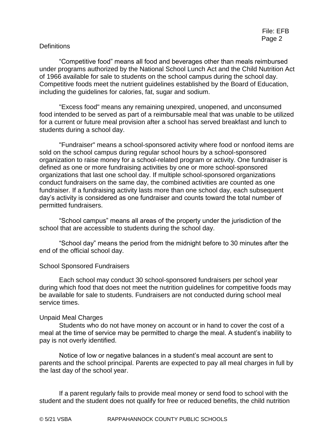## **Definitions**

"Competitive food" means all food and beverages other than meals reimbursed under programs authorized by the National School Lunch Act and the Child Nutrition Act of 1966 available for sale to students on the school campus during the school day. Competitive foods meet the nutrient guidelines established by the Board of Education, including the guidelines for calories, fat, sugar and sodium.

"Excess food" means any remaining unexpired, unopened, and unconsumed food intended to be served as part of a reimbursable meal that was unable to be utilized for a current or future meal provision after a school has served breakfast and lunch to students during a school day.

"Fundraiser" means a school-sponsored activity where food or nonfood items are sold on the school campus during regular school hours by a school-sponsored organization to raise money for a school-related program or activity. One fundraiser is defined as one or more fundraising activities by one or more school-sponsored organizations that last one school day. If multiple school-sponsored organizations conduct fundraisers on the same day, the combined activities are counted as one fundraiser. If a fundraising activity lasts more than one school day, each subsequent day's activity is considered as one fundraiser and counts toward the total number of permitted fundraisers.

"School campus" means all areas of the property under the jurisdiction of the school that are accessible to students during the school day.

"School day" means the period from the midnight before to 30 minutes after the end of the official school day.

#### School Sponsored Fundraisers

Each school may conduct 30 school-sponsored fundraisers per school year during which food that does not meet the nutrition guidelines for competitive foods may be available for sale to students. Fundraisers are not conducted during school meal service times.

#### Unpaid Meal Charges

Students who do not have money on account or in hand to cover the cost of a meal at the time of service may be permitted to charge the meal. A student's inability to pay is not overly identified.

Notice of low or negative balances in a student's meal account are sent to parents and the school principal. Parents are expected to pay all meal charges in full by the last day of the school year.

If a parent regularly fails to provide meal money or send food to school with the student and the student does not qualify for free or reduced benefits, the child nutrition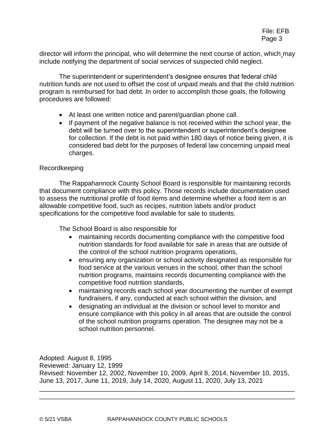director will inform the principal, who will determine the next course of action, which may include notifying the department of social services of suspected child neglect.

The superintendent or superintendent's designee ensures that federal child nutrition funds are not used to offset the cost of unpaid meals and that the child nutrition program is reimbursed for bad debt. In order to accomplish those goals, the following procedures are followed:

- At least one written notice and parent/guardian phone call.
- If payment of the negative balance is not received within the school year, the debt will be turned over to the superintendent or superintendent's designee for collection. If the debt is not paid within 180 days of notice being given, it is considered bad debt for the purposes of federal law concerning unpaid meal charges.

### Recordkeeping

The Rappahannock County School Board is responsible for maintaining records that document compliance with this policy. Those records include documentation used to assess the nutritional profile of food items and determine whether a food item is an allowable competitive food, such as recipes, nutrition labels and/or product specifications for the competitive food available for sale to students.

The School Board is also responsible for

- maintaining records documenting compliance with the competitive food nutrition standards for food available for sale in areas that are outside of the control of the school nutrition programs operations,
- ensuring any organization or school activity designated as responsible for food service at the various venues in the school, other than the school nutrition programs, maintains records documenting compliance with the competitive food nutrition standards,
- maintaining records each school year documenting the number of exempt fundraisers, if any, conducted at each school within the division, and
- designating an individual at the division or school level to monitor and ensure compliance with this policy in all areas that are outside the control of the school nutrition programs operation. The designee may not be a school nutrition personnel.

Adopted: August 8, 1995 Reviewed: January 12, 1999 Revised: November 12, 2002, November 10, 2009, April 8, 2014, November 10, 2015, June 13, 2017, June 11, 2019, July 14, 2020, August 11, 2020, July 13, 2021

\_\_\_\_\_\_\_\_\_\_\_\_\_\_\_\_\_\_\_\_\_\_\_\_\_\_\_\_\_\_\_\_\_\_\_\_\_\_\_\_\_\_\_\_\_\_\_\_\_\_\_\_\_\_\_\_\_\_\_\_\_\_\_\_\_\_\_\_\_\_ \_\_\_\_\_\_\_\_\_\_\_\_\_\_\_\_\_\_\_\_\_\_\_\_\_\_\_\_\_\_\_\_\_\_\_\_\_\_\_\_\_\_\_\_\_\_\_\_\_\_\_\_\_\_\_\_\_\_\_\_\_\_\_\_\_\_\_\_\_\_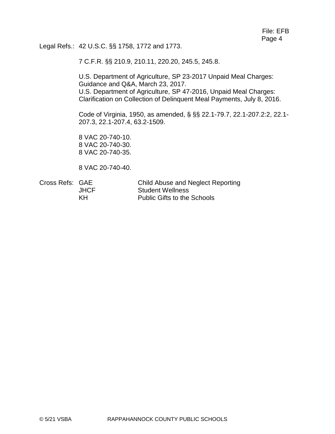Legal Refs.: 42 U.S.C. §§ 1758, 1772 and 1773.

7 C.F.R. §§ 210.9, 210.11, 220.20, 245.5, 245.8.

U.S. Department of Agriculture, SP 23-2017 Unpaid Meal Charges: Guidance and Q&A, March 23, 2017. U.S. Department of Agriculture, SP 47-2016, Unpaid Meal Charges: Clarification on Collection of Delinquent Meal Payments, July 8, 2016.

Code of Virginia, 1950, as amended, § §§ 22.1-79.7, 22.1-207.2:2, 22.1- 207.3, 22.1-207.4, 63.2-1509.

8 VAC 20-740-10. 8 VAC 20-740-30. 8 VAC 20-740-35.

8 VAC 20-740-40.

Cross Refs: GAE Child Abuse and Neglect Reporting JHCF Student Wellness KH Public Gifts to the Schools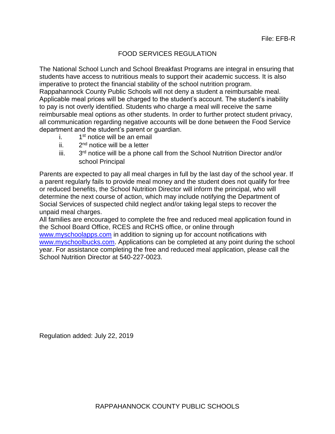## FOOD SERVICES REGULATION

The National School Lunch and School Breakfast Programs are integral in ensuring that students have access to nutritious meals to support their academic success. It is also imperative to protect the financial stability of the school nutrition program. Rappahannock County Public Schools will not deny a student a reimbursable meal. Applicable meal prices will be charged to the student's account. The student's inability to pay is not overly identified. Students who charge a meal will receive the same reimbursable meal options as other students. In order to further protect student privacy, all communication regarding negative accounts will be done between the Food Service department and the student's parent or guardian.

- i. 1<sup>st</sup> notice will be an email
- ii. 2  $2<sup>nd</sup>$  notice will be a letter
- iii. 3 3<sup>rd</sup> notice will be a phone call from the School Nutrition Director and/or school Principal

Parents are expected to pay all meal charges in full by the last day of the school year. If a parent regularly fails to provide meal money and the student does not qualify for free or reduced benefits, the School Nutrition Director will inform the principal, who will determine the next course of action, which may include notifying the Department of Social Services of suspected child neglect and/or taking legal steps to recover the unpaid meal charges.

All families are encouraged to complete the free and reduced meal application found in the School Board Office, RCES and RCHS office, or online through

[www.myschoolapps.com](http://www.myschoolapps.com/) in addition to signing up for account notifications with [www.myschoolbucks.com.](http://www.myschoolbucks.com/) Applications can be completed at any point during the school year. For assistance completing the free and reduced meal application, please call the School Nutrition Director at 540-227-0023.

Regulation added: July 22, 2019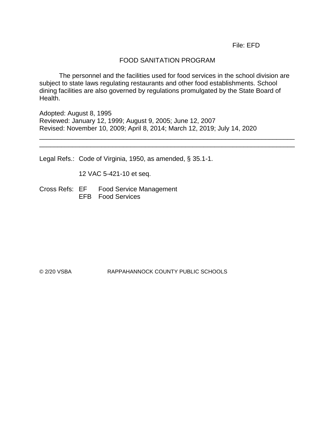File: EFD

## FOOD SANITATION PROGRAM

The personnel and the facilities used for food services in the school division are subject to state laws regulating restaurants and other food establishments. School dining facilities are also governed by regulations promulgated by the State Board of Health.

\_\_\_\_\_\_\_\_\_\_\_\_\_\_\_\_\_\_\_\_\_\_\_\_\_\_\_\_\_\_\_\_\_\_\_\_\_\_\_\_\_\_\_\_\_\_\_\_\_\_\_\_\_\_\_\_\_\_\_\_\_\_\_\_\_\_\_\_\_\_ \_\_\_\_\_\_\_\_\_\_\_\_\_\_\_\_\_\_\_\_\_\_\_\_\_\_\_\_\_\_\_\_\_\_\_\_\_\_\_\_\_\_\_\_\_\_\_\_\_\_\_\_\_\_\_\_\_\_\_\_\_\_\_\_\_\_\_\_\_\_

Adopted: August 8, 1995 Reviewed: January 12, 1999; August 9, 2005; June 12, 2007 Revised: November 10, 2009; April 8, 2014; March 12, 2019; July 14, 2020

Legal Refs.: Code of Virginia, 1950, as amended, § 35.1-1.

12 VAC 5-421-10 et seq.

Cross Refs: EF Food Service Management EFB Food Services

© 2/20 VSBA RAPPAHANNOCK COUNTY PUBLIC SCHOOLS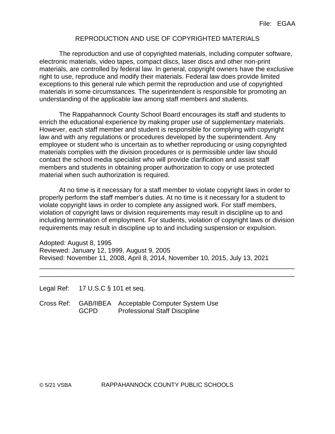## REPRODUCTION AND USE OF COPYRIGHTED MATERIALS

The reproduction and use of copyrighted materials, including computer software, electronic materials, video tapes, compact discs, laser discs and other non-print materials, are controlled by federal law. In general, copyright owners have the exclusive right to use, reproduce and modify their materials. Federal law does provide limited exceptions to this general rule which permit the reproduction and use of copyrighted materials in some circumstances. The superintendent is responsible for promoting an understanding of the applicable law among staff members and students.

The Rappahannock County School Board encourages its staff and students to enrich the educational experience by making proper use of supplementary materials. However, each staff member and student is responsible for complying with copyright law and with any regulations or procedures developed by the superintendent. Any employee or student who is uncertain as to whether reproducing or using copyrighted materials complies with the division procedures or is permissible under law should contact the school media specialist who will provide clarification and assist staff members and students in obtaining proper authorization to copy or use protected material when such authorization is required.

At no time is it necessary for a staff member to violate copyright laws in order to properly perform the staff member's duties. At no time is it necessary for a student to violate copyright laws in order to complete any assigned work. For staff members, violation of copyright laws or division requirements may result in discipline up to and including termination of employment. For students, violation of copyright laws or division requirements may result in discipline up to and including suspension or expulsion.

\_\_\_\_\_\_\_\_\_\_\_\_\_\_\_\_\_\_\_\_\_\_\_\_\_\_\_\_\_\_\_\_\_\_\_\_\_\_\_\_\_\_\_\_\_\_\_\_\_\_\_\_\_\_\_\_\_\_\_\_\_\_\_\_\_\_\_\_\_\_ \_\_\_\_\_\_\_\_\_\_\_\_\_\_\_\_\_\_\_\_\_\_\_\_\_\_\_\_\_\_\_\_\_\_\_\_\_\_\_\_\_\_\_\_\_\_\_\_\_\_\_\_\_\_\_\_\_\_\_\_\_\_\_\_\_\_\_\_\_\_

Adopted: August 8, 1995 Reviewed: January 12, 1999, August 9, 2005 Revised: November 11, 2008, April 8, 2014, November 10, 2015, July 13, 2021

Legal Ref: 17 U.S.C § 101 et seq.

Cross Ref: GAB/IIBEA Acceptable Computer System Use GCPD Professional Staff Discipline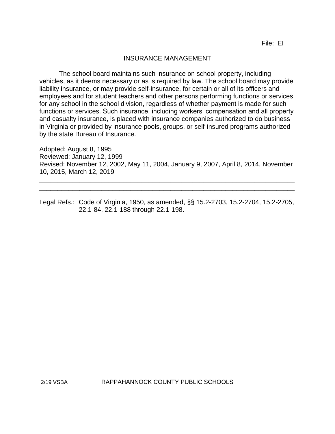## INSURANCE MANAGEMENT

The school board maintains such insurance on school property, including vehicles, as it deems necessary or as is required by law. The school board may provide liability insurance, or may provide self-insurance, for certain or all of its officers and employees and for student teachers and other persons performing functions or services for any school in the school division, regardless of whether payment is made for such functions or services. Such insurance, including workers' compensation and all property and casualty insurance, is placed with insurance companies authorized to do business in Virginia or provided by insurance pools, groups, or self-insured programs authorized by the state Bureau of Insurance.

Adopted: August 8, 1995 Reviewed: January 12, 1999 Revised: November 12, 2002, May 11, 2004, January 9, 2007, April 8, 2014, November 10, 2015, March 12, 2019

\_\_\_\_\_\_\_\_\_\_\_\_\_\_\_\_\_\_\_\_\_\_\_\_\_\_\_\_\_\_\_\_\_\_\_\_\_\_\_\_\_\_\_\_\_\_\_\_\_\_\_\_\_\_\_\_\_\_\_\_\_\_\_\_\_\_\_\_\_\_ \_\_\_\_\_\_\_\_\_\_\_\_\_\_\_\_\_\_\_\_\_\_\_\_\_\_\_\_\_\_\_\_\_\_\_\_\_\_\_\_\_\_\_\_\_\_\_\_\_\_\_\_\_\_\_\_\_\_\_\_\_\_\_\_\_\_\_\_\_\_

Legal Refs.: Code of Virginia, 1950, as amended, §§ 15.2-2703, 15.2-2704, 15.2-2705, 22.1-84, 22.1-188 through 22.1-198.